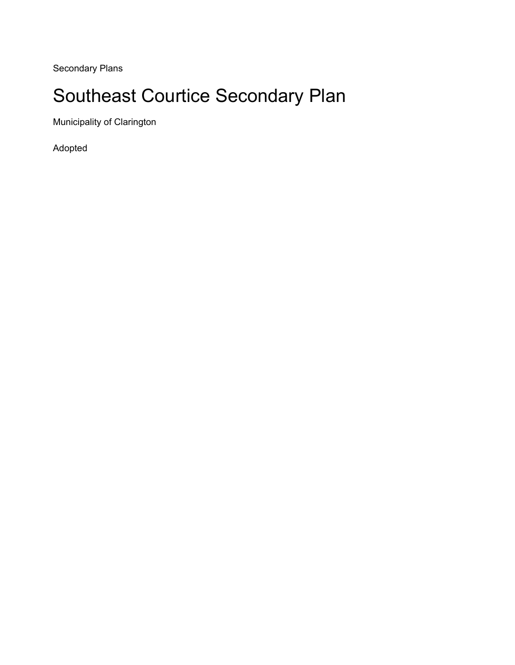Secondary Plans

# Southeast Courtice Secondary Plan

Municipality of Clarington

Adopted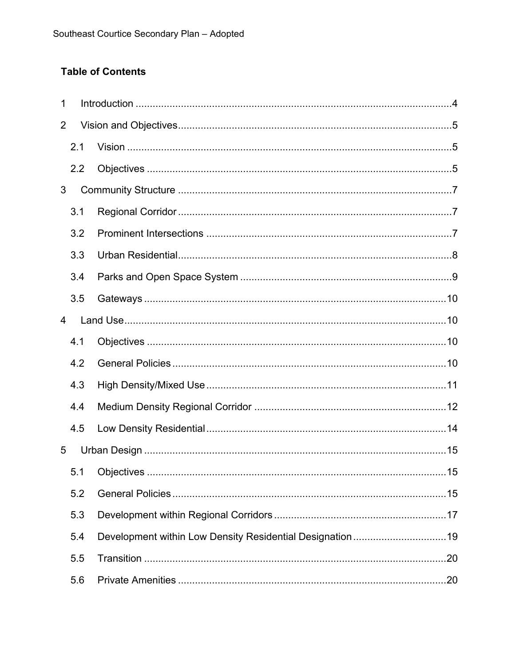## **Table of Contents**

| 1              |     |                                                           |    |
|----------------|-----|-----------------------------------------------------------|----|
| 2              |     |                                                           |    |
|                | 2.1 |                                                           |    |
|                | 2.2 |                                                           |    |
| 3              |     |                                                           |    |
|                | 3.1 |                                                           |    |
|                | 3.2 |                                                           |    |
|                | 3.3 |                                                           |    |
|                | 3.4 |                                                           |    |
|                | 3.5 |                                                           |    |
| $\overline{4}$ |     |                                                           |    |
|                | 4.1 |                                                           |    |
|                | 4.2 |                                                           |    |
|                | 4.3 |                                                           |    |
|                | 4.4 |                                                           |    |
|                | 4.5 |                                                           |    |
| 5              |     |                                                           |    |
|                |     |                                                           | 15 |
|                | 5.2 |                                                           |    |
|                | 5.3 |                                                           |    |
|                | 5.4 | Development within Low Density Residential Designation 19 |    |
|                | 5.5 |                                                           |    |
|                | 5.6 |                                                           |    |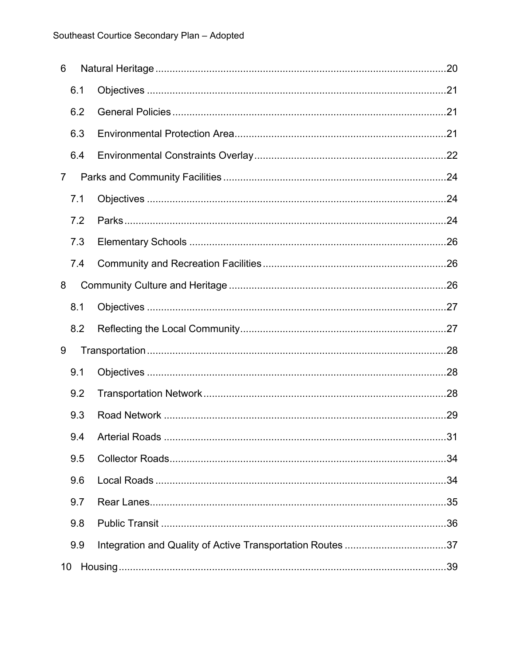| 6              |     |                                                            |    |
|----------------|-----|------------------------------------------------------------|----|
|                | 6.1 |                                                            |    |
|                | 6.2 |                                                            |    |
|                | 6.3 |                                                            |    |
|                | 6.4 |                                                            |    |
| $\overline{7}$ |     |                                                            |    |
|                | 7.1 |                                                            |    |
|                | 7.2 |                                                            |    |
|                | 7.3 |                                                            |    |
|                | 7.4 |                                                            |    |
| 8              |     |                                                            |    |
|                | 8.1 |                                                            |    |
|                | 8.2 |                                                            |    |
| 9              |     |                                                            |    |
|                | 9.1 |                                                            |    |
|                | 9.2 |                                                            |    |
|                | 9.3 |                                                            |    |
|                |     | 9.4 Arterial Roads                                         | 31 |
|                | 9.5 |                                                            |    |
|                | 9.6 |                                                            |    |
|                | 9.7 |                                                            |    |
|                | 9.8 |                                                            |    |
|                | 9.9 | Integration and Quality of Active Transportation Routes 37 |    |
| 10             |     |                                                            |    |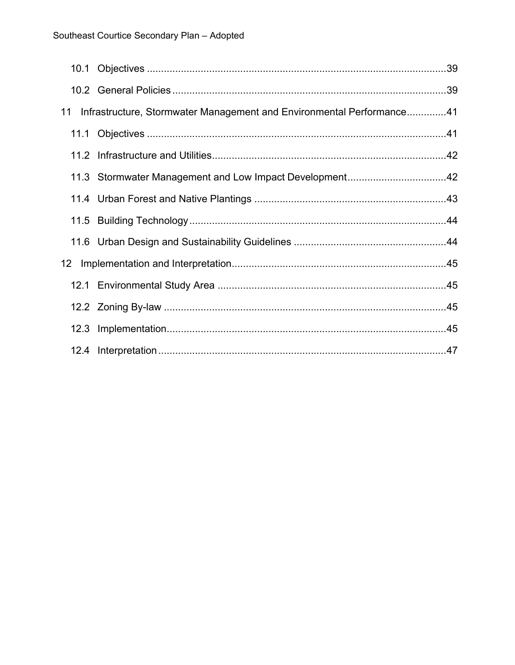| 11 | Infrastructure, Stormwater Management and Environmental Performance41 |  |
|----|-----------------------------------------------------------------------|--|
|    |                                                                       |  |
|    |                                                                       |  |
|    | 11.3 Stormwater Management and Low Impact Development42               |  |
|    |                                                                       |  |
|    |                                                                       |  |
|    |                                                                       |  |
|    |                                                                       |  |
|    |                                                                       |  |
|    |                                                                       |  |
|    |                                                                       |  |
|    |                                                                       |  |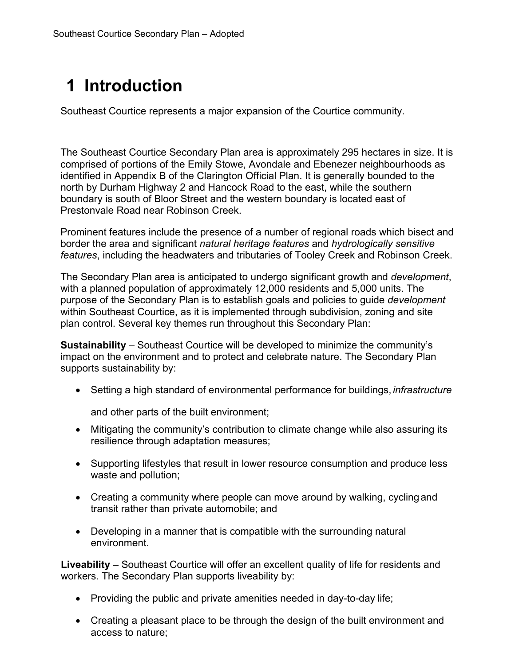# <span id="page-4-0"></span>**1 Introduction**

Southeast Courtice represents a major expansion of the Courtice community.

The Southeast Courtice Secondary Plan area is approximately 295 hectares in size. It is comprised of portions of the Emily Stowe, Avondale and Ebenezer neighbourhoods as identified in Appendix B of the Clarington Official Plan. It is generally bounded to the north by Durham Highway 2 and Hancock Road to the east, while the southern boundary is south of Bloor Street and the western boundary is located east of Prestonvale Road near Robinson Creek.

Prominent features include the presence of a number of regional roads which bisect and border the area and significant *natural heritage features* and *hydrologically sensitive features*, including the headwaters and tributaries of Tooley Creek and Robinson Creek.

The Secondary Plan area is anticipated to undergo significant growth and *development*, with a planned population of approximately 12,000 residents and 5,000 units. The purpose of the Secondary Plan is to establish goals and policies to guide *development*  within Southeast Courtice, as it is implemented through subdivision, zoning and site plan control. Several key themes run throughout this Secondary Plan:

**Sustainability** – Southeast Courtice will be developed to minimize the community's impact on the environment and to protect and celebrate nature. The Secondary Plan supports sustainability by:

• Setting a high standard of environmental performance for buildings, *infrastructure*

and other parts of the built environment;

- Mitigating the community's contribution to climate change while also assuring its resilience through adaptation measures;
- Supporting lifestyles that result in lower resource consumption and produce less waste and pollution;
- Creating a community where people can move around by walking, cyclingand transit rather than private automobile; and
- Developing in a manner that is compatible with the surrounding natural environment.

**Liveability** – Southeast Courtice will offer an excellent quality of life for residents and workers. The Secondary Plan supports liveability by:

- Providing the public and private amenities needed in day-to-day life;
- Creating a pleasant place to be through the design of the built environment and access to nature;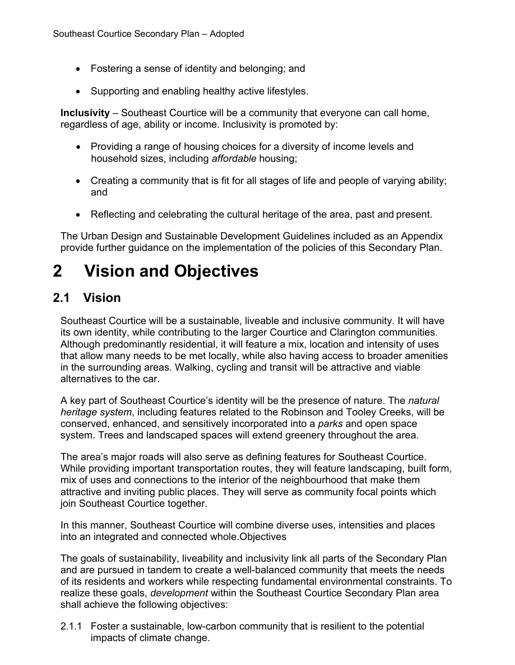- Fostering a sense of identity and belonging; and
- Supporting and enabling healthy active lifestyles.

**Inclusivity** – Southeast Courtice will be a community that everyone can call home, regardless of age, ability or income. Inclusivity is promoted by:

- Providing a range of housing choices for a diversity of income levels and household sizes, including *affordable* housing;
- Creating a community that is fit for all stages of life and people of varying ability; and
- Reflecting and celebrating the cultural heritage of the area, past and present.

The Urban Design and Sustainable Development Guidelines included as an Appendix provide further guidance on the implementation of the policies of this Secondary Plan.

# <span id="page-5-0"></span>**2 Vision and Objectives**

# <span id="page-5-1"></span>**2.1 Vision**

Southeast Courtice will be a sustainable, liveable and inclusive community. It will have its own identity, while contributing to the larger Courtice and Clarington communities. Although predominantly residential, it will feature a mix, location and intensity of uses that allow many needs to be met locally, while also having access to broader amenities in the surrounding areas. Walking, cycling and transit will be attractive and viable alternatives to the car.

A key part of Southeast Courtice's identity will be the presence of nature. The *natural heritage system*, including features related to the Robinson and Tooley Creeks, will be conserved, enhanced, and sensitively incorporated into a *parks* and open space system. Trees and landscaped spaces will extend greenery throughout the area.

The area's major roads will also serve as defining features for Southeast Courtice. While providing important transportation routes, they will feature landscaping, built form, mix of uses and connections to the interior of the neighbourhood that make them attractive and inviting public places. They will serve as community focal points which join Southeast Courtice together.

<span id="page-5-2"></span>In this manner, Southeast Courtice will combine diverse uses, intensities and places into an integrated and connected whole.Objectives

The goals of sustainability, liveability and inclusivity link all parts of the Secondary Plan and are pursued in tandem to create a well-balanced community that meets the needs of its residents and workers while respecting fundamental environmental constraints. To realize these goals, *development* within the Southeast Courtice Secondary Plan area shall achieve the following objectives:

2.1.1 Foster a sustainable, low-carbon community that is resilient to the potential impacts of climate change.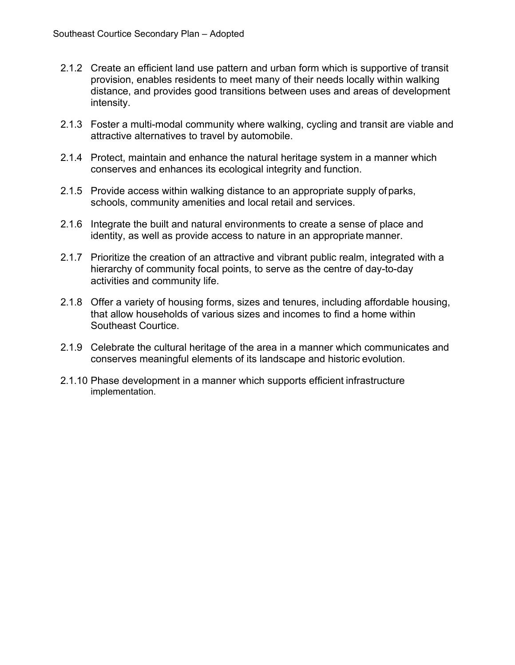- 2.1.2 Create an efficient land use pattern and urban form which is supportive of transit provision, enables residents to meet many of their needs locally within walking distance, and provides good transitions between uses and areas of development intensity.
- 2.1.3 Foster a multi-modal community where walking, cycling and transit are viable and attractive alternatives to travel by automobile.
- 2.1.4 Protect, maintain and enhance the natural heritage system in a manner which conserves and enhances its ecological integrity and function.
- 2.1.5 Provide access within walking distance to an appropriate supply of parks, schools, community amenities and local retail and services.
- 2.1.6 Integrate the built and natural environments to create a sense of place and identity, as well as provide access to nature in an appropriate manner.
- 2.1.7 Prioritize the creation of an attractive and vibrant public realm, integrated with a hierarchy of community focal points, to serve as the centre of day-to-day activities and community life.
- 2.1.8 Offer a variety of housing forms, sizes and tenures, including affordable housing, that allow households of various sizes and incomes to find a home within Southeast Courtice.
- 2.1.9 Celebrate the cultural heritage of the area in a manner which communicates and conserves meaningful elements of its landscape and historic evolution.
- 2.1.10 Phase development in a manner which supports efficient infrastructure implementation.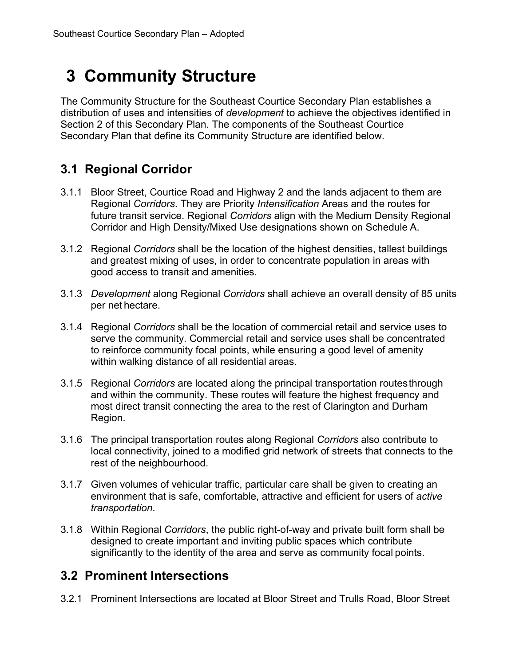# <span id="page-7-0"></span>**3 Community Structure**

The Community Structure for the Southeast Courtice Secondary Plan establishes a distribution of uses and intensities of *development* to achieve the objectives identified in Section 2 of this Secondary Plan. The components of the Southeast Courtice Secondary Plan that define its Community Structure are identified below.

# <span id="page-7-1"></span>**3.1 Regional Corridor**

- 3.1.1 Bloor Street, Courtice Road and Highway 2 and the lands adjacent to them are Regional *Corridors*. They are Priority *Intensification* Areas and the routes for future transit service. Regional *Corridors* align with the Medium Density Regional Corridor and High Density/Mixed Use designations shown on Schedule A.
- 3.1.2 Regional *Corridors* shall be the location of the highest densities, tallest buildings and greatest mixing of uses, in order to concentrate population in areas with good access to transit and amenities.
- 3.1.3 *Development* along Regional *Corridors* shall achieve an overall density of 85 units per net hectare.
- 3.1.4 Regional *Corridors* shall be the location of commercial retail and service uses to serve the community. Commercial retail and service uses shall be concentrated to reinforce community focal points, while ensuring a good level of amenity within walking distance of all residential areas.
- 3.1.5 Regional *Corridors* are located along the principal transportation routesthrough and within the community. These routes will feature the highest frequency and most direct transit connecting the area to the rest of Clarington and Durham Region.
- 3.1.6 The principal transportation routes along Regional *Corridors* also contribute to local connectivity, joined to a modified grid network of streets that connects to the rest of the neighbourhood.
- 3.1.7 Given volumes of vehicular traffic, particular care shall be given to creating an environment that is safe, comfortable, attractive and efficient for users of *active transportation*.
- 3.1.8 Within Regional *Corridors*, the public right-of-way and private built form shall be designed to create important and inviting public spaces which contribute significantly to the identity of the area and serve as community focal points.

# <span id="page-7-2"></span>**3.2 Prominent Intersections**

3.2.1 Prominent Intersections are located at Bloor Street and Trulls Road, Bloor Street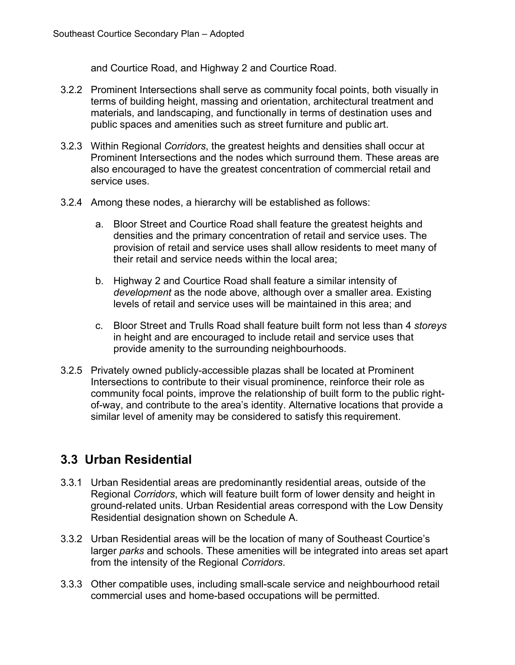and Courtice Road, and Highway 2 and Courtice Road.

- 3.2.2 Prominent Intersections shall serve as community focal points, both visually in terms of building height, massing and orientation, architectural treatment and materials, and landscaping, and functionally in terms of destination uses and public spaces and amenities such as street furniture and public art.
- 3.2.3 Within Regional *Corridors*, the greatest heights and densities shall occur at Prominent Intersections and the nodes which surround them. These areas are also encouraged to have the greatest concentration of commercial retail and service uses.
- 3.2.4 Among these nodes, a hierarchy will be established as follows:
	- a. Bloor Street and Courtice Road shall feature the greatest heights and densities and the primary concentration of retail and service uses. The provision of retail and service uses shall allow residents to meet many of their retail and service needs within the local area;
	- b. Highway 2 and Courtice Road shall feature a similar intensity of *development* as the node above, although over a smaller area. Existing levels of retail and service uses will be maintained in this area; and
	- c. Bloor Street and Trulls Road shall feature built form not less than 4 *storeys* in height and are encouraged to include retail and service uses that provide amenity to the surrounding neighbourhoods.
- 3.2.5 Privately owned publicly-accessible plazas shall be located at Prominent Intersections to contribute to their visual prominence, reinforce their role as community focal points, improve the relationship of built form to the public rightof-way, and contribute to the area's identity. Alternative locations that provide a similar level of amenity may be considered to satisfy this requirement.

# <span id="page-8-0"></span>**3.3 Urban Residential**

- 3.3.1 Urban Residential areas are predominantly residential areas, outside of the Regional *Corridors*, which will feature built form of lower density and height in ground-related units. Urban Residential areas correspond with the Low Density Residential designation shown on Schedule A.
- 3.3.2 Urban Residential areas will be the location of many of Southeast Courtice's larger *parks* and schools. These amenities will be integrated into areas set apart from the intensity of the Regional *Corridors*.
- 3.3.3 Other compatible uses, including small-scale service and neighbourhood retail commercial uses and home-based occupations will be permitted.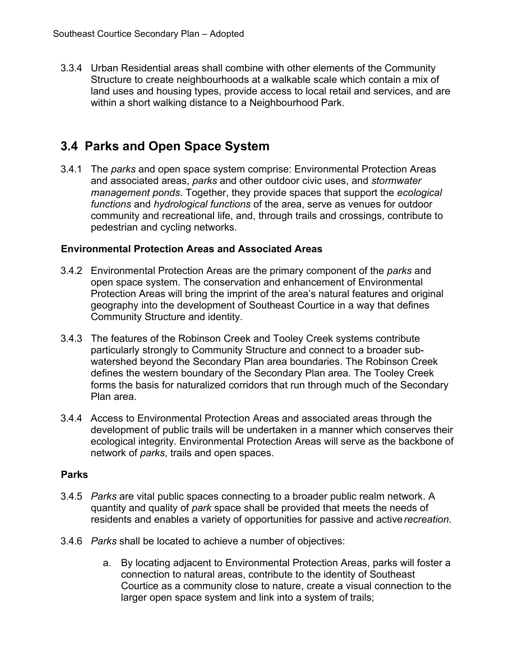3.3.4 Urban Residential areas shall combine with other elements of the Community Structure to create neighbourhoods at a walkable scale which contain a mix of land uses and housing types, provide access to local retail and services, and are within a short walking distance to a Neighbourhood Park.

# <span id="page-9-0"></span>**3.4 Parks and Open Space System**

3.4.1 The *parks* and open space system comprise: Environmental Protection Areas and associated areas, *parks* and other outdoor civic uses, and *stormwater management ponds*. Together, they provide spaces that support the *ecological functions* and *hydrological functions* of the area, serve as venues for outdoor community and recreational life, and, through trails and crossings, contribute to pedestrian and cycling networks.

#### **Environmental Protection Areas and Associated Areas**

- 3.4.2 Environmental Protection Areas are the primary component of the *parks* and open space system. The conservation and enhancement of Environmental Protection Areas will bring the imprint of the area's natural features and original geography into the development of Southeast Courtice in a way that defines Community Structure and identity.
- 3.4.3 The features of the Robinson Creek and Tooley Creek systems contribute particularly strongly to Community Structure and connect to a broader subwatershed beyond the Secondary Plan area boundaries. The Robinson Creek defines the western boundary of the Secondary Plan area. The Tooley Creek forms the basis for naturalized corridors that run through much of the Secondary Plan area.
- 3.4.4 Access to Environmental Protection Areas and associated areas through the development of public trails will be undertaken in a manner which conserves their ecological integrity. Environmental Protection Areas will serve as the backbone of network of *parks*, trails and open spaces.

#### **Parks**

- 3.4.5 *Parks* are vital public spaces connecting to a broader public realm network. A quantity and quality of *park* space shall be provided that meets the needs of residents and enables a variety of opportunities for passive and active*recreation*.
- 3.4.6 *Parks* shall be located to achieve a number of objectives:
	- a. By locating adjacent to Environmental Protection Areas, parks will foster a connection to natural areas, contribute to the identity of Southeast Courtice as a community close to nature, create a visual connection to the larger open space system and link into a system of trails;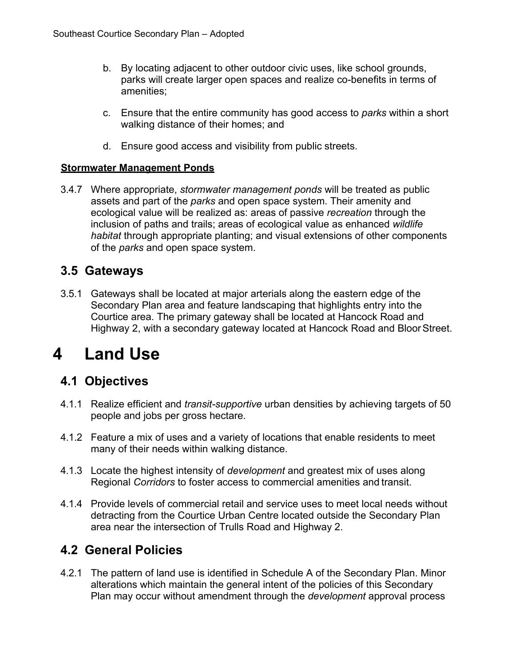- b. By locating adjacent to other outdoor civic uses, like school grounds, parks will create larger open spaces and realize co-benefits in terms of amenities;
- c. Ensure that the entire community has good access to *parks* within a short walking distance of their homes; and
- d. Ensure good access and visibility from public streets.

#### **Stormwater Management Ponds**

3.4.7 Where appropriate, *stormwater management ponds* will be treated as public assets and part of the *parks* and open space system. Their amenity and ecological value will be realized as: areas of passive *recreation* through the inclusion of paths and trails; areas of ecological value as enhanced *wildlife habitat* through appropriate planting; and visual extensions of other components of the *parks* and open space system.

## <span id="page-10-0"></span>**3.5 Gateways**

3.5.1 Gateways shall be located at major arterials along the eastern edge of the Secondary Plan area and feature landscaping that highlights entry into the Courtice area. The primary gateway shall be located at Hancock Road and Highway 2, with a secondary gateway located at Hancock Road and BloorStreet.

# <span id="page-10-1"></span>**4 Land Use**

# <span id="page-10-2"></span>**4.1 Objectives**

- 4.1.1 Realize efficient and *transit-supportive* urban densities by achieving targets of 50 people and jobs per gross hectare.
- 4.1.2 Feature a mix of uses and a variety of locations that enable residents to meet many of their needs within walking distance.
- 4.1.3 Locate the highest intensity of *development* and greatest mix of uses along Regional *Corridors* to foster access to commercial amenities and transit.
- 4.1.4 Provide levels of commercial retail and service uses to meet local needs without detracting from the Courtice Urban Centre located outside the Secondary Plan area near the intersection of Trulls Road and Highway 2.

# <span id="page-10-3"></span>**4.2 General Policies**

4.2.1 The pattern of land use is identified in Schedule A of the Secondary Plan. Minor alterations which maintain the general intent of the policies of this Secondary Plan may occur without amendment through the *development* approval process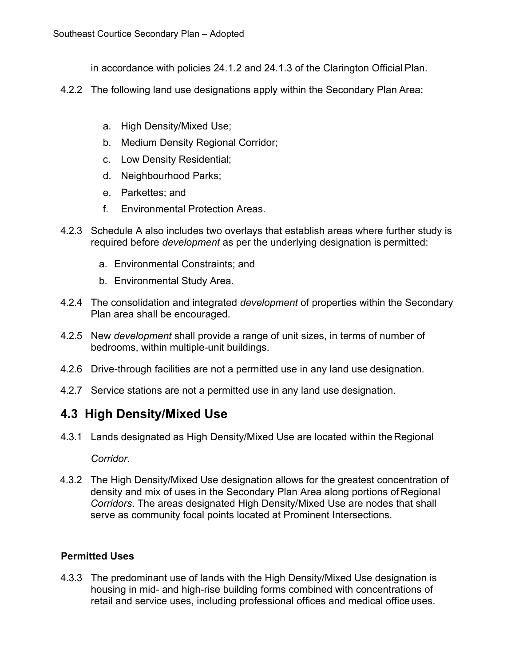in accordance with policies 24.1.2 and 24.1.3 of the Clarington Official Plan.

- 4.2.2 The following land use designations apply within the Secondary Plan Area:
	- a. High Density/Mixed Use;
	- b. Medium Density Regional Corridor;
	- c. Low Density Residential;
	- d. Neighbourhood Parks;
	- e. Parkettes; and
	- f. Environmental Protection Areas.
- 4.2.3 Schedule A also includes two overlays that establish areas where further study is required before *development* as per the underlying designation is permitted:
	- a. Environmental Constraints; and
	- b. Environmental Study Area.
- 4.2.4 The consolidation and integrated *development* of properties within the Secondary Plan area shall be encouraged.
- 4.2.5 New *development* shall provide a range of unit sizes, in terms of number of bedrooms, within multiple-unit buildings.
- 4.2.6 Drive-through facilities are not a permitted use in any land use designation.
- 4.2.7 Service stations are not a permitted use in any land use designation.

#### <span id="page-11-0"></span>**4.3 High Density/Mixed Use**

4.3.1 Lands designated as High Density/Mixed Use are located within the Regional

*Corridor*.

4.3.2 The High Density/Mixed Use designation allows for the greatest concentration of density and mix of uses in the Secondary Plan Area along portions of Regional *Corridors*. The areas designated High Density/Mixed Use are nodes that shall serve as community focal points located at Prominent Intersections.

#### **Permitted Uses**

4.3.3 The predominant use of lands with the High Density/Mixed Use designation is housing in mid- and high-rise building forms combined with concentrations of retail and service uses, including professional offices and medical officeuses.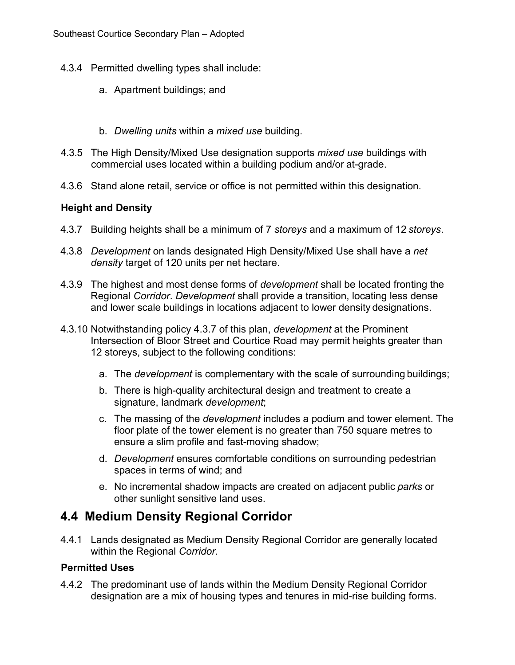- 4.3.4 Permitted dwelling types shall include:
	- a. Apartment buildings; and
	- b. *Dwelling units* within a *mixed use* building.
- 4.3.5 The High Density/Mixed Use designation supports *mixed use* buildings with commercial uses located within a building podium and/or at-grade.
- 4.3.6 Stand alone retail, service or office is not permitted within this designation.

#### **Height and Density**

- 4.3.7 Building heights shall be a minimum of 7 *storeys* and a maximum of 12 *storeys*.
- 4.3.8 *Development* on lands designated High Density/Mixed Use shall have a *net density* target of 120 units per net hectare.
- 4.3.9 The highest and most dense forms of *development* shall be located fronting the Regional *Corridor*. *Development* shall provide a transition, locating less dense and lower scale buildings in locations adjacent to lower density designations.
- 4.3.10 Notwithstanding policy 4.3.7 of this plan, *development* at the Prominent Intersection of Bloor Street and Courtice Road may permit heights greater than 12 storeys, subject to the following conditions:
	- a. The *development* is complementary with the scale of surrounding buildings;
	- b. There is high-quality architectural design and treatment to create a signature, landmark *development*;
	- c. The massing of the *development* includes a podium and tower element. The floor plate of the tower element is no greater than 750 square metres to ensure a slim profile and fast-moving shadow;
	- d. *Development* ensures comfortable conditions on surrounding pedestrian spaces in terms of wind; and
	- e. No incremental shadow impacts are created on adjacent public *parks* or other sunlight sensitive land uses.

## <span id="page-12-0"></span>**4.4 Medium Density Regional Corridor**

4.4.1 Lands designated as Medium Density Regional Corridor are generally located within the Regional *Corridor*.

#### **Permitted Uses**

4.4.2 The predominant use of lands within the Medium Density Regional Corridor designation are a mix of housing types and tenures in mid-rise building forms.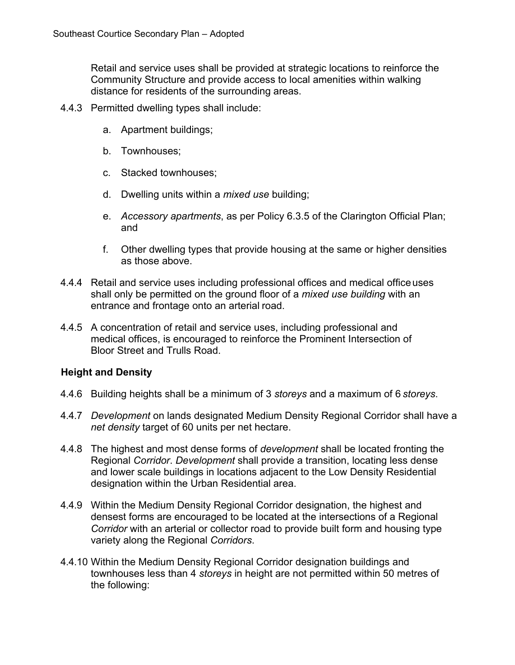Retail and service uses shall be provided at strategic locations to reinforce the Community Structure and provide access to local amenities within walking distance for residents of the surrounding areas.

- 4.4.3 Permitted dwelling types shall include:
	- a. Apartment buildings;
	- b. Townhouses;
	- c. Stacked townhouses;
	- d. Dwelling units within a *mixed use* building;
	- e. *Accessory apartments*, as per Policy 6.3.5 of the Clarington Official Plan; and
	- f. Other dwelling types that provide housing at the same or higher densities as those above.
- 4.4.4 Retail and service uses including professional offices and medical officeuses shall only be permitted on the ground floor of a *mixed use building* with an entrance and frontage onto an arterial road.
- 4.4.5 A concentration of retail and service uses, including professional and medical offices, is encouraged to reinforce the Prominent Intersection of Bloor Street and Trulls Road.

#### **Height and Density**

- 4.4.6 Building heights shall be a minimum of 3 *storeys* and a maximum of 6 *storeys*.
- 4.4.7 *Development* on lands designated Medium Density Regional Corridor shall have a *net density* target of 60 units per net hectare.
- 4.4.8 The highest and most dense forms of *development* shall be located fronting the Regional *Corridor*. *Development* shall provide a transition, locating less dense and lower scale buildings in locations adjacent to the Low Density Residential designation within the Urban Residential area.
- 4.4.9 Within the Medium Density Regional Corridor designation, the highest and densest forms are encouraged to be located at the intersections of a Regional *Corridor* with an arterial or collector road to provide built form and housing type variety along the Regional *Corridors*.
- 4.4.10 Within the Medium Density Regional Corridor designation buildings and townhouses less than 4 *storeys* in height are not permitted within 50 metres of the following: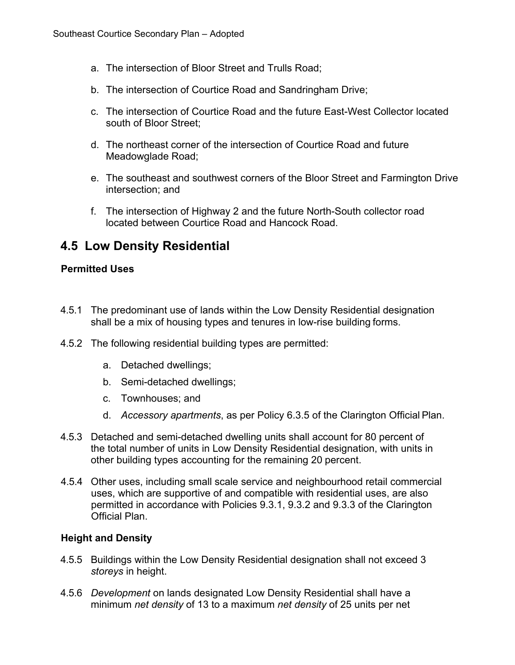- a. The intersection of Bloor Street and Trulls Road;
- b. The intersection of Courtice Road and Sandringham Drive;
- c. The intersection of Courtice Road and the future East-West Collector located south of Bloor Street;
- d. The northeast corner of the intersection of Courtice Road and future Meadowglade Road;
- e. The southeast and southwest corners of the Bloor Street and Farmington Drive intersection; and
- f. The intersection of Highway 2 and the future North-South collector road located between Courtice Road and Hancock Road.

## <span id="page-14-0"></span>**4.5 Low Density Residential**

#### **Permitted Uses**

- 4.5.1 The predominant use of lands within the Low Density Residential designation shall be a mix of housing types and tenures in low-rise building forms.
- 4.5.2 The following residential building types are permitted:
	- a. Detached dwellings;
	- b. Semi-detached dwellings;
	- c. Townhouses; and
	- d. *Accessory apartments*, as per Policy 6.3.5 of the Clarington Official Plan.
- 4.5.3 Detached and semi-detached dwelling units shall account for 80 percent of the total number of units in Low Density Residential designation, with units in other building types accounting for the remaining 20 percent.
- 4.5.4 Other uses, including small scale service and neighbourhood retail commercial uses, which are supportive of and compatible with residential uses, are also permitted in accordance with Policies 9.3.1, 9.3.2 and 9.3.3 of the Clarington Official Plan.

#### **Height and Density**

- 4.5.5 Buildings within the Low Density Residential designation shall not exceed 3 *storeys* in height.
- 4.5.6 *Development* on lands designated Low Density Residential shall have a minimum *net density* of 13 to a maximum *net density* of 25 units per net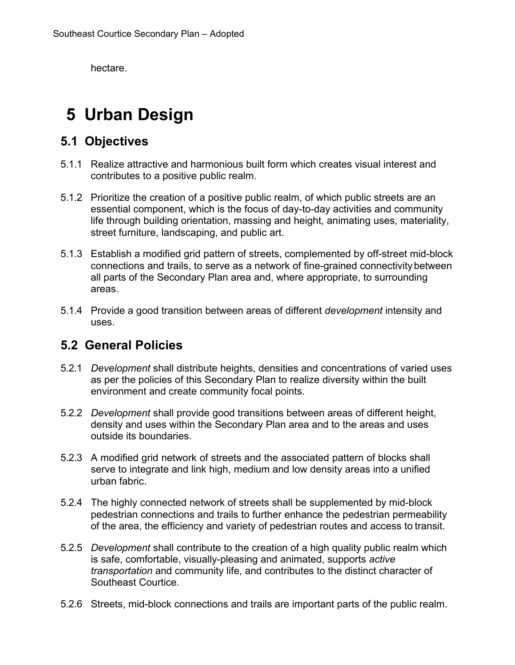hectare.

# <span id="page-15-0"></span>**5 Urban Design**

## <span id="page-15-1"></span>**5.1 Objectives**

- 5.1.1 Realize attractive and harmonious built form which creates visual interest and contributes to a positive public realm.
- 5.1.2 Prioritize the creation of a positive public realm, of which public streets are an essential component, which is the focus of day-to-day activities and community life through building orientation, massing and height, animating uses, materiality, street furniture, landscaping, and public art.
- 5.1.3 Establish a modified grid pattern of streets, complemented by off-street mid-block connections and trails, to serve as a network of fine-grained connectivitybetween all parts of the Secondary Plan area and, where appropriate, to surrounding areas.
- 5.1.4 Provide a good transition between areas of different *development* intensity and uses.

## <span id="page-15-2"></span>**5.2 General Policies**

- 5.2.1 *Development* shall distribute heights, densities and concentrations of varied uses as per the policies of this Secondary Plan to realize diversity within the built environment and create community focal points.
- 5.2.2 *Development* shall provide good transitions between areas of different height, density and uses within the Secondary Plan area and to the areas and uses outside its boundaries.
- 5.2.3 A modified grid network of streets and the associated pattern of blocks shall serve to integrate and link high, medium and low density areas into a unified urban fabric.
- 5.2.4 The highly connected network of streets shall be supplemented by mid-block pedestrian connections and trails to further enhance the pedestrian permeability of the area, the efficiency and variety of pedestrian routes and access to transit.
- 5.2.5 *Development* shall contribute to the creation of a high quality public realm which is safe, comfortable, visually-pleasing and animated, supports *active transportation* and community life, and contributes to the distinct character of Southeast Courtice.
- 5.2.6 Streets, mid-block connections and trails are important parts of the public realm.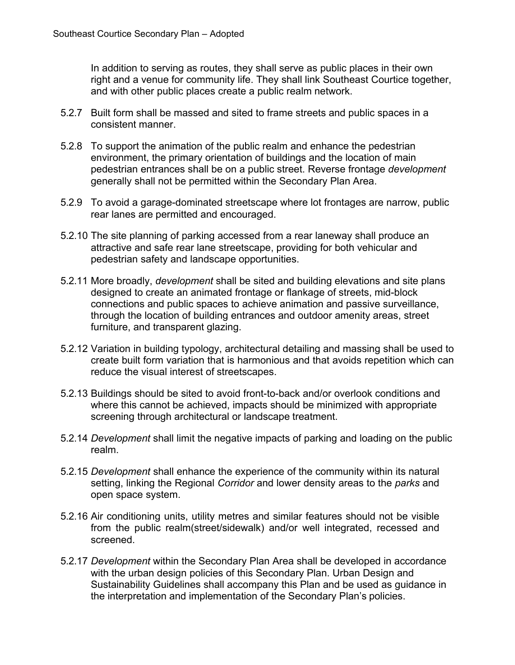In addition to serving as routes, they shall serve as public places in their own right and a venue for community life. They shall link Southeast Courtice together, and with other public places create a public realm network.

- 5.2.7 Built form shall be massed and sited to frame streets and public spaces in a consistent manner.
- 5.2.8 To support the animation of the public realm and enhance the pedestrian environment, the primary orientation of buildings and the location of main pedestrian entrances shall be on a public street. Reverse frontage *development*  generally shall not be permitted within the Secondary Plan Area.
- 5.2.9 To avoid a garage-dominated streetscape where lot frontages are narrow, public rear lanes are permitted and encouraged.
- 5.2.10 The site planning of parking accessed from a rear laneway shall produce an attractive and safe rear lane streetscape, providing for both vehicular and pedestrian safety and landscape opportunities.
- 5.2.11 More broadly, *development* shall be sited and building elevations and site plans designed to create an animated frontage or flankage of streets, mid-block connections and public spaces to achieve animation and passive surveillance, through the location of building entrances and outdoor amenity areas, street furniture, and transparent glazing.
- 5.2.12 Variation in building typology, architectural detailing and massing shall be used to create built form variation that is harmonious and that avoids repetition which can reduce the visual interest of streetscapes.
- 5.2.13 Buildings should be sited to avoid front-to-back and/or overlook conditions and where this cannot be achieved, impacts should be minimized with appropriate screening through architectural or landscape treatment.
- 5.2.14 *Development* shall limit the negative impacts of parking and loading on the public realm.
- 5.2.15 *Development* shall enhance the experience of the community within its natural setting, linking the Regional *Corridor* and lower density areas to the *parks* and open space system.
- 5.2.16 Air conditioning units, utility metres and similar features should not be visible from the public realm(street/sidewalk) and/or well integrated, recessed and screened.
- 5.2.17 *Development* within the Secondary Plan Area shall be developed in accordance with the urban design policies of this Secondary Plan. Urban Design and Sustainability Guidelines shall accompany this Plan and be used as guidance in the interpretation and implementation of the Secondary Plan's policies.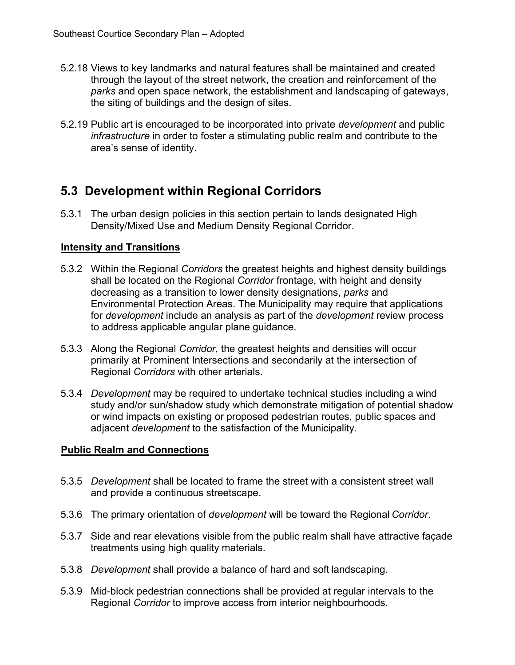- 5.2.18 Views to key landmarks and natural features shall be maintained and created through the layout of the street network, the creation and reinforcement of the *parks* and open space network, the establishment and landscaping of gateways, the siting of buildings and the design of sites.
- 5.2.19 Public art is encouraged to be incorporated into private *development* and public *infrastructure* in order to foster a stimulating public realm and contribute to the area's sense of identity.

# <span id="page-17-0"></span>**5.3 Development within Regional Corridors**

5.3.1 The urban design policies in this section pertain to lands designated High Density/Mixed Use and Medium Density Regional Corridor.

#### **Intensity and Transitions**

- 5.3.2 Within the Regional *Corridors* the greatest heights and highest density buildings shall be located on the Regional *Corridor* frontage, with height and density decreasing as a transition to lower density designations, *parks* and Environmental Protection Areas. The Municipality may require that applications for *development* include an analysis as part of the *development* review process to address applicable angular plane guidance.
- 5.3.3 Along the Regional *Corridor*, the greatest heights and densities will occur primarily at Prominent Intersections and secondarily at the intersection of Regional *Corridors* with other arterials.
- 5.3.4 *Development* may be required to undertake technical studies including a wind study and/or sun/shadow study which demonstrate mitigation of potential shadow or wind impacts on existing or proposed pedestrian routes, public spaces and adjacent *development* to the satisfaction of the Municipality.

#### **Public Realm and Connections**

- 5.3.5 *Development* shall be located to frame the street with a consistent street wall and provide a continuous streetscape.
- 5.3.6 The primary orientation of *development* will be toward the Regional *Corridor*.
- 5.3.7 Side and rear elevations visible from the public realm shall have attractive façade treatments using high quality materials.
- 5.3.8 *Development* shall provide a balance of hard and soft landscaping.
- 5.3.9 Mid-block pedestrian connections shall be provided at regular intervals to the Regional *Corridor* to improve access from interior neighbourhoods.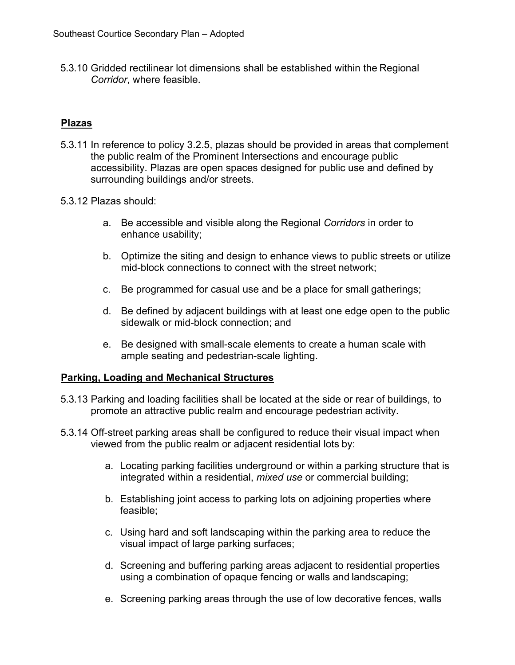5.3.10 Gridded rectilinear lot dimensions shall be established within the Regional *Corridor*, where feasible.

#### **Plazas**

- 5.3.11 In reference to policy 3.2.5, plazas should be provided in areas that complement the public realm of the Prominent Intersections and encourage public accessibility. Plazas are open spaces designed for public use and defined by surrounding buildings and/or streets.
- 5.3.12 Plazas should:
	- a. Be accessible and visible along the Regional *Corridors* in order to enhance usability;
	- b. Optimize the siting and design to enhance views to public streets or utilize mid-block connections to connect with the street network;
	- c. Be programmed for casual use and be a place for small gatherings;
	- d. Be defined by adjacent buildings with at least one edge open to the public sidewalk or mid-block connection; and
	- e. Be designed with small-scale elements to create a human scale with ample seating and pedestrian-scale lighting.

#### **Parking, Loading and Mechanical Structures**

- 5.3.13 Parking and loading facilities shall be located at the side or rear of buildings, to promote an attractive public realm and encourage pedestrian activity.
- 5.3.14 Off-street parking areas shall be configured to reduce their visual impact when viewed from the public realm or adjacent residential lots by:
	- a. Locating parking facilities underground or within a parking structure that is integrated within a residential, *mixed use* or commercial building;
	- b. Establishing joint access to parking lots on adjoining properties where feasible;
	- c. Using hard and soft landscaping within the parking area to reduce the visual impact of large parking surfaces;
	- d. Screening and buffering parking areas adjacent to residential properties using a combination of opaque fencing or walls and landscaping;
	- e. Screening parking areas through the use of low decorative fences, walls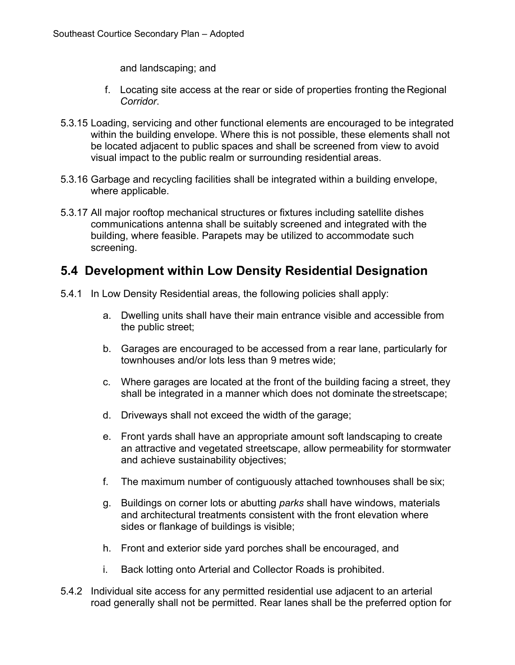and landscaping; and

- f. Locating site access at the rear or side of properties fronting the Regional *Corridor*.
- 5.3.15 Loading, servicing and other functional elements are encouraged to be integrated within the building envelope. Where this is not possible, these elements shall not be located adjacent to public spaces and shall be screened from view to avoid visual impact to the public realm or surrounding residential areas.
- 5.3.16 Garbage and recycling facilities shall be integrated within a building envelope, where applicable.
- 5.3.17 All major rooftop mechanical structures or fixtures including satellite dishes communications antenna shall be suitably screened and integrated with the building, where feasible. Parapets may be utilized to accommodate such screening.

## <span id="page-19-0"></span>**5.4 Development within Low Density Residential Designation**

- 5.4.1 In Low Density Residential areas, the following policies shall apply:
	- a. Dwelling units shall have their main entrance visible and accessible from the public street;
	- b. Garages are encouraged to be accessed from a rear lane, particularly for townhouses and/or lots less than 9 metres wide;
	- c. Where garages are located at the front of the building facing a street, they shall be integrated in a manner which does not dominate the streetscape;
	- d. Driveways shall not exceed the width of the garage;
	- e. Front yards shall have an appropriate amount soft landscaping to create an attractive and vegetated streetscape, allow permeability for stormwater and achieve sustainability objectives;
	- f. The maximum number of contiguously attached townhouses shall be six;
	- g. Buildings on corner lots or abutting *parks* shall have windows, materials and architectural treatments consistent with the front elevation where sides or flankage of buildings is visible;
	- h. Front and exterior side yard porches shall be encouraged, and
	- i. Back lotting onto Arterial and Collector Roads is prohibited.
- 5.4.2 Individual site access for any permitted residential use adjacent to an arterial road generally shall not be permitted. Rear lanes shall be the preferred option for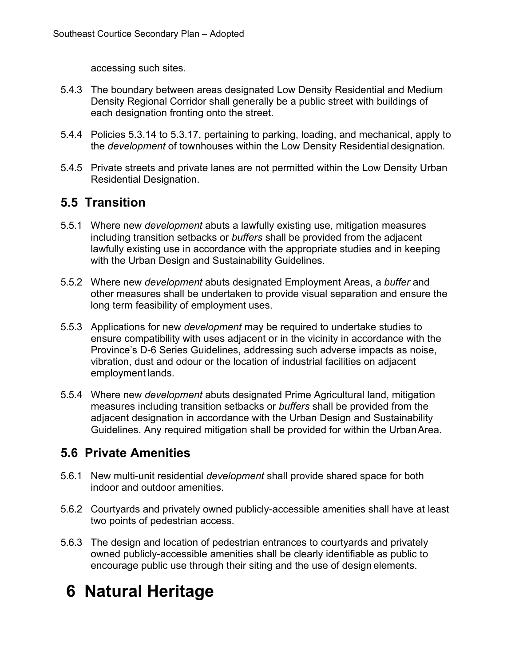accessing such sites.

- 5.4.3 The boundary between areas designated Low Density Residential and Medium Density Regional Corridor shall generally be a public street with buildings of each designation fronting onto the street.
- 5.4.4 Policies 5.3.14 to 5.3.17, pertaining to parking, loading, and mechanical, apply to the *development* of townhouses within the Low Density Residential designation.
- 5.4.5 Private streets and private lanes are not permitted within the Low Density Urban Residential Designation.

## <span id="page-20-0"></span>**5.5 Transition**

- 5.5.1 Where new *development* abuts a lawfully existing use, mitigation measures including transition setbacks or *buffers* shall be provided from the adjacent lawfully existing use in accordance with the appropriate studies and in keeping with the Urban Design and Sustainability Guidelines.
- 5.5.2 Where new *development* abuts designated Employment Areas, a *buffer* and other measures shall be undertaken to provide visual separation and ensure the long term feasibility of employment uses.
- 5.5.3 Applications for new *development* may be required to undertake studies to ensure compatibility with uses adjacent or in the vicinity in accordance with the Province's D-6 Series Guidelines, addressing such adverse impacts as noise, vibration, dust and odour or the location of industrial facilities on adjacent employment lands.
- 5.5.4 Where new *development* abuts designated Prime Agricultural land, mitigation measures including transition setbacks or *buffers* shall be provided from the adjacent designation in accordance with the Urban Design and Sustainability Guidelines. Any required mitigation shall be provided for within the UrbanArea.

# <span id="page-20-1"></span>**5.6 Private Amenities**

- 5.6.1 New multi-unit residential *development* shall provide shared space for both indoor and outdoor amenities.
- 5.6.2 Courtyards and privately owned publicly-accessible amenities shall have at least two points of pedestrian access.
- 5.6.3 The design and location of pedestrian entrances to courtyards and privately owned publicly-accessible amenities shall be clearly identifiable as public to encourage public use through their siting and the use of design elements.

# <span id="page-20-2"></span>**6 Natural Heritage**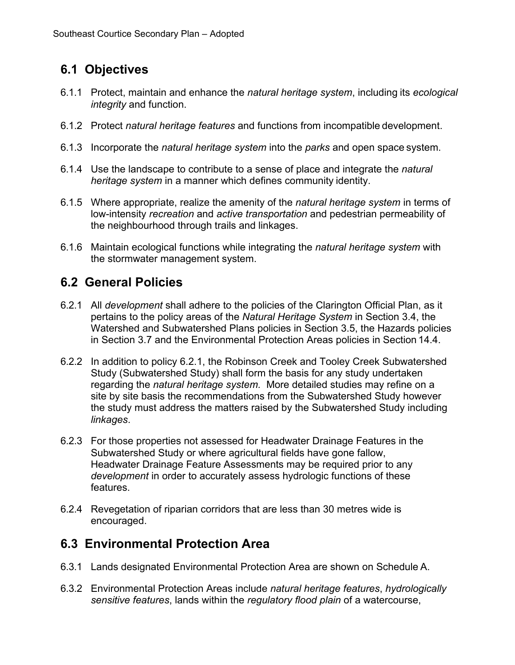# <span id="page-21-0"></span>**6.1 Objectives**

- 6.1.1 Protect, maintain and enhance the *natural heritage system*, including its *ecological integrity* and function.
- 6.1.2 Protect *natural heritage features* and functions from incompatible development.
- 6.1.3 Incorporate the *natural heritage system* into the *parks* and open space system.
- 6.1.4 Use the landscape to contribute to a sense of place and integrate the *natural heritage system* in a manner which defines community identity.
- 6.1.5 Where appropriate, realize the amenity of the *natural heritage system* in terms of low-intensity *recreation* and *active transportation* and pedestrian permeability of the neighbourhood through trails and linkages.
- 6.1.6 Maintain ecological functions while integrating the *natural heritage system* with the stormwater management system.

## <span id="page-21-1"></span>**6.2 General Policies**

- 6.2.1 All *development* shall adhere to the policies of the Clarington Official Plan, as it pertains to the policy areas of the *Natural Heritage System* in Section 3.4, the Watershed and Subwatershed Plans policies in Section 3.5, the Hazards policies in Section 3.7 and the Environmental Protection Areas policies in Section 14.4.
- 6.2.2 In addition to policy 6.2.1, the Robinson Creek and Tooley Creek Subwatershed Study (Subwatershed Study) shall form the basis for any study undertaken regarding the *natural heritage system.* More detailed studies may refine on a site by site basis the recommendations from the Subwatershed Study however the study must address the matters raised by the Subwatershed Study including *linkages*.
- 6.2.3 For those properties not assessed for Headwater Drainage Features in the Subwatershed Study or where agricultural fields have gone fallow, Headwater Drainage Feature Assessments may be required prior to any *development* in order to accurately assess hydrologic functions of these features.
- 6.2.4 Revegetation of riparian corridors that are less than 30 metres wide is encouraged.

## <span id="page-21-2"></span>**6.3 Environmental Protection Area**

- 6.3.1 Lands designated Environmental Protection Area are shown on Schedule A.
- 6.3.2 Environmental Protection Areas include *natural heritage features*, *hydrologically sensitive features*, lands within the *regulatory flood plain* of a watercourse,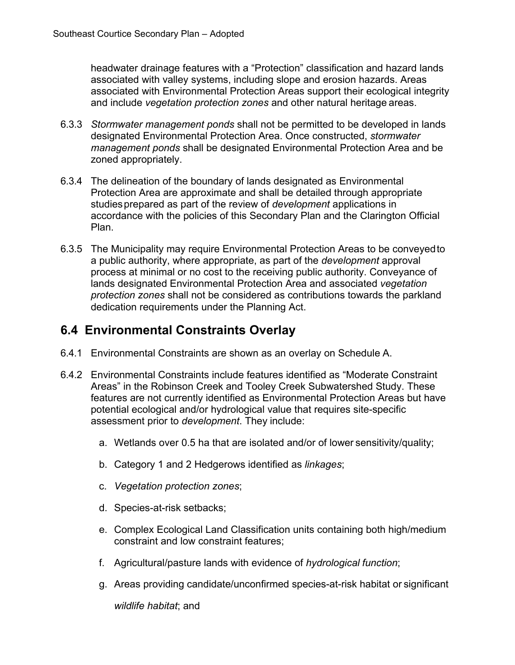headwater drainage features with a "Protection" classification and hazard lands associated with valley systems, including slope and erosion hazards. Areas associated with Environmental Protection Areas support their ecological integrity and include *vegetation protection zones* and other natural heritage areas.

- 6.3.3 *Stormwater management ponds* shall not be permitted to be developed in lands designated Environmental Protection Area. Once constructed, *stormwater management ponds* shall be designated Environmental Protection Area and be zoned appropriately.
- 6.3.4 The delineation of the boundary of lands designated as Environmental Protection Area are approximate and shall be detailed through appropriate studiesprepared as part of the review of *development* applications in accordance with the policies of this Secondary Plan and the Clarington Official Plan.
- 6.3.5 The Municipality may require Environmental Protection Areas to be conveyedto a public authority, where appropriate, as part of the *development* approval process at minimal or no cost to the receiving public authority. Conveyance of lands designated Environmental Protection Area and associated *vegetation protection zones* shall not be considered as contributions towards the parkland dedication requirements under the Planning Act.

## <span id="page-22-0"></span>**6.4 Environmental Constraints Overlay**

- 6.4.1 Environmental Constraints are shown as an overlay on Schedule A.
- <span id="page-22-1"></span>6.4.2 Environmental Constraints include features identified as "Moderate Constraint Areas" in the Robinson Creek and Tooley Creek Subwatershed Study. These features are not currently identified as Environmental Protection Areas but have potential ecological and/or hydrological value that requires site-specific assessment prior to *development*. They include:
	- a. Wetlands over 0.5 ha that are isolated and/or of lower sensitivity/quality;
	- b. Category 1 and 2 Hedgerows identified as *linkages*;
	- c. *Vegetation protection zones*;
	- d. Species-at-risk setbacks;
	- e. Complex Ecological Land Classification units containing both high/medium constraint and low constraint features;
	- f. Agricultural/pasture lands with evidence of *hydrological function*;
	- g. Areas providing candidate/unconfirmed species-at-risk habitat or significant

*wildlife habitat*; and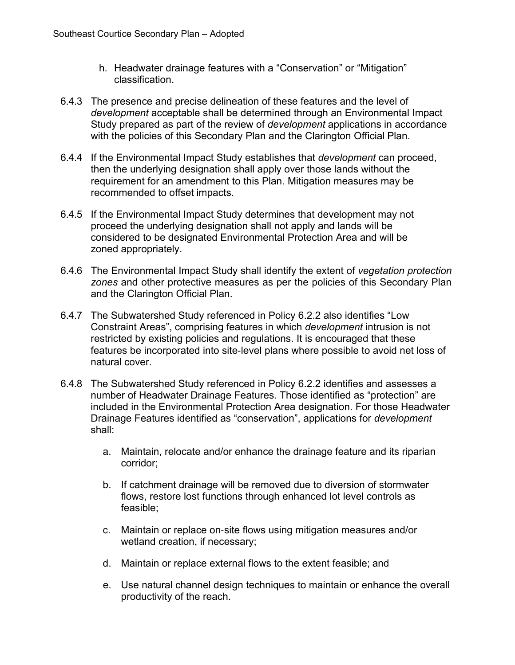- h. Headwater drainage features with a "Conservation" or "Mitigation" classification.
- 6.4.3 The presence and precise delineation of these features and the level of *development* acceptable shall be determined through an Environmental Impact Study prepared as part of the review of *development* applications in accordance with the policies of this Secondary Plan and the Clarington Official Plan.
- 6.4.4 If the Environmental Impact Study establishes that *development* can proceed, then the underlying designation shall apply over those lands without the requirement for an amendment to this Plan. Mitigation measures may be recommended to offset impacts.
- 6.4.5 If the Environmental Impact Study determines that development may not proceed the underlying designation shall not apply and lands will be considered to be designated Environmental Protection Area and will be zoned appropriately.
- 6.4.6 The Environmental Impact Study shall identify the extent of *vegetation protection zones* and other protective measures as per the policies of this Secondary Plan and the Clarington Official Plan.
- 6.4.7 The Subwatershed Study referenced in Pol[icy 6.2.2 a](#page-22-1)lso identifies "Low Constraint Areas", comprising features in which *development* intrusion is not restricted by existing policies and regulations. It is encouraged that these features be incorporated into site‐level plans where possible to avoid net loss of natural cover.
- 6.4.8 The Subwatershed Study referenced in Policy 6.2.2 identifies and assesses a number of Headwater Drainage Features. Those identified as "protection" are included in the Environmental Protection Area designation. For those Headwater Drainage Features identified as "conservation", applications for *development*  shall:
	- a. Maintain, relocate and/or enhance the drainage feature and its riparian corridor;
	- b. If catchment drainage will be removed due to diversion of stormwater flows, restore lost functions through enhanced lot level controls as feasible;
	- c. Maintain or replace on‐site flows using mitigation measures and/or wetland creation, if necessary;
	- d. Maintain or replace external flows to the extent feasible; and
	- e. Use natural channel design techniques to maintain or enhance the overall productivity of the reach.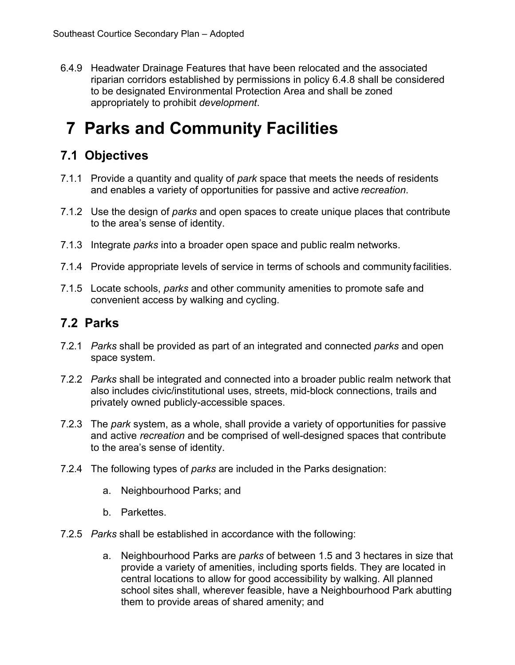6.4.9 Headwater Drainage Features that have been relocated and the associated riparian corridors established by permissions in policy 6.4.8 shall be considered to be designated Environmental Protection Area and shall be zoned appropriately to prohibit *development*.

# <span id="page-24-0"></span>**7 Parks and Community Facilities**

# <span id="page-24-1"></span>**7.1 Objectives**

- 7.1.1 Provide a quantity and quality of *park* space that meets the needs of residents and enables a variety of opportunities for passive and active *recreation*.
- 7.1.2 Use the design of *parks* and open spaces to create unique places that contribute to the area's sense of identity.
- 7.1.3 Integrate *parks* into a broader open space and public realm networks.
- 7.1.4 Provide appropriate levels of service in terms of schools and community facilities.
- 7.1.5 Locate schools, *parks* and other community amenities to promote safe and convenient access by walking and cycling.

## <span id="page-24-2"></span>**7.2 Parks**

- 7.2.1 *Parks* shall be provided as part of an integrated and connected *parks* and open space system.
- 7.2.2 *Parks* shall be integrated and connected into a broader public realm network that also includes civic/institutional uses, streets, mid-block connections, trails and privately owned publicly-accessible spaces.
- 7.2.3 The *park* system, as a whole, shall provide a variety of opportunities for passive and active *recreation* and be comprised of well-designed spaces that contribute to the area's sense of identity.
- 7.2.4 The following types of *parks* are included in the Parks designation:
	- a. Neighbourhood Parks; and
	- b. Parkettes.
- 7.2.5 *Parks* shall be established in accordance with the following:
	- a. Neighbourhood Parks are *parks* of between 1.5 and 3 hectares in size that provide a variety of amenities, including sports fields. They are located in central locations to allow for good accessibility by walking. All planned school sites shall, wherever feasible, have a Neighbourhood Park abutting them to provide areas of shared amenity; and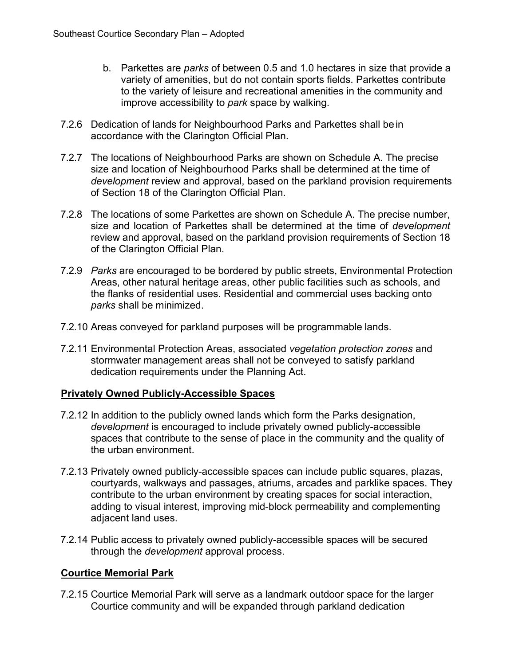- b. Parkettes are *parks* of between 0.5 and 1.0 hectares in size that provide a variety of amenities, but do not contain sports fields. Parkettes contribute to the variety of leisure and recreational amenities in the community and improve accessibility to *park* space by walking.
- 7.2.6 Dedication of lands for Neighbourhood Parks and Parkettes shall bein accordance with the Clarington Official Plan.
- 7.2.7 The locations of Neighbourhood Parks are shown on Schedule A. The precise size and location of Neighbourhood Parks shall be determined at the time of *development* review and approval, based on the parkland provision requirements of Section 18 of the Clarington Official Plan.
- 7.2.8 The locations of some Parkettes are shown on Schedule A. The precise number, size and location of Parkettes shall be determined at the time of *development* review and approval, based on the parkland provision requirements of Section 18 of the Clarington Official Plan.
- 7.2.9 *Parks* are encouraged to be bordered by public streets, Environmental Protection Areas, other natural heritage areas, other public facilities such as schools, and the flanks of residential uses. Residential and commercial uses backing onto *parks* shall be minimized.
- 7.2.10 Areas conveyed for parkland purposes will be programmable lands.
- 7.2.11 Environmental Protection Areas, associated *vegetation protection zones* and stormwater management areas shall not be conveyed to satisfy parkland dedication requirements under the Planning Act.

#### **Privately Owned Publicly-Accessible Spaces**

- 7.2.12 In addition to the publicly owned lands which form the Parks designation, *development* is encouraged to include privately owned publicly-accessible spaces that contribute to the sense of place in the community and the quality of the urban environment.
- 7.2.13 Privately owned publicly-accessible spaces can include public squares, plazas, courtyards, walkways and passages, atriums, arcades and parklike spaces. They contribute to the urban environment by creating spaces for social interaction, adding to visual interest, improving mid-block permeability and complementing adjacent land uses.
- 7.2.14 Public access to privately owned publicly-accessible spaces will be secured through the *development* approval process.

#### **Courtice Memorial Park**

7.2.15 Courtice Memorial Park will serve as a landmark outdoor space for the larger Courtice community and will be expanded through parkland dedication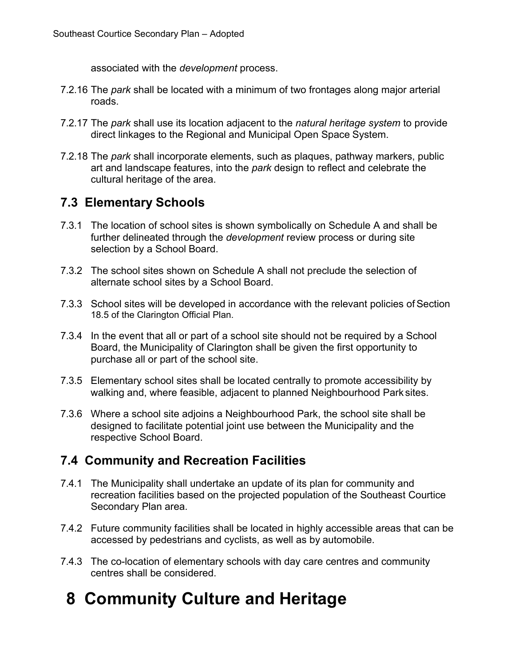associated with the *development* process.

- 7.2.16 The *park* shall be located with a minimum of two frontages along major arterial roads.
- 7.2.17 The *park* shall use its location adjacent to the *natural heritage system* to provide direct linkages to the Regional and Municipal Open Space System.
- 7.2.18 The *park* shall incorporate elements, such as plaques, pathway markers, public art and landscape features, into the *park* design to reflect and celebrate the cultural heritage of the area.

# <span id="page-26-0"></span>**7.3 Elementary Schools**

- 7.3.1 The location of school sites is shown symbolically on Schedule A and shall be further delineated through the *development* review process or during site selection by a School Board.
- 7.3.2 The school sites shown on Schedule A shall not preclude the selection of alternate school sites by a School Board.
- 7.3.3 School sites will be developed in accordance with the relevant policies of Section 18.5 of the Clarington Official Plan.
- 7.3.4 In the event that all or part of a school site should not be required by a School Board, the Municipality of Clarington shall be given the first opportunity to purchase all or part of the school site.
- 7.3.5 Elementary school sites shall be located centrally to promote accessibility by walking and, where feasible, adjacent to planned Neighbourhood Park sites.
- 7.3.6 Where a school site adjoins a Neighbourhood Park, the school site shall be designed to facilitate potential joint use between the Municipality and the respective School Board.

# <span id="page-26-1"></span>**7.4 Community and Recreation Facilities**

- 7.4.1 The Municipality shall undertake an update of its plan for community and recreation facilities based on the projected population of the Southeast Courtice Secondary Plan area.
- 7.4.2 Future community facilities shall be located in highly accessible areas that can be accessed by pedestrians and cyclists, as well as by automobile.
- 7.4.3 The co-location of elementary schools with day care centres and community centres shall be considered.

# <span id="page-26-2"></span>**8 Community Culture and Heritage**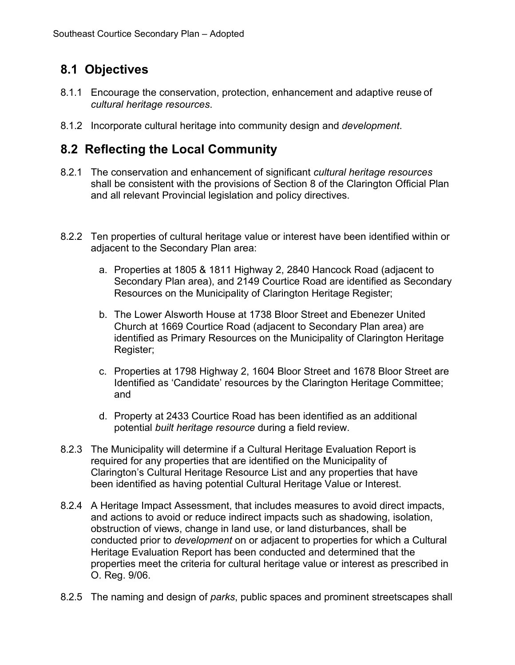# <span id="page-27-0"></span>**8.1 Objectives**

- 8.1.1 Encourage the conservation, protection, enhancement and adaptive reuse of *cultural heritage resources*.
- 8.1.2 Incorporate cultural heritage into community design and *development*.

## <span id="page-27-1"></span>**8.2 Reflecting the Local Community**

- 8.2.1 The conservation and enhancement of significant *cultural heritage resources*  shall be consistent with the provisions of Section 8 of the Clarington Official Plan and all relevant Provincial legislation and policy directives.
- 8.2.2 Ten properties of cultural heritage value or interest have been identified within or adjacent to the Secondary Plan area:
	- a. Properties at 1805 & 1811 Highway 2, 2840 Hancock Road (adjacent to Secondary Plan area), and 2149 Courtice Road are identified as Secondary Resources on the Municipality of Clarington Heritage Register;
	- b. The Lower Alsworth House at 1738 Bloor Street and Ebenezer United Church at 1669 Courtice Road (adjacent to Secondary Plan area) are identified as Primary Resources on the Municipality of Clarington Heritage Register;
	- c. Properties at 1798 Highway 2, 1604 Bloor Street and 1678 Bloor Street are Identified as 'Candidate' resources by the Clarington Heritage Committee; and
	- d. Property at 2433 Courtice Road has been identified as an additional potential *built heritage resource* during a field review.
- 8.2.3 The Municipality will determine if a Cultural Heritage Evaluation Report is required for any properties that are identified on the Municipality of Clarington's Cultural Heritage Resource List and any properties that have been identified as having potential Cultural Heritage Value or Interest.
- 8.2.4 A Heritage Impact Assessment, that includes measures to avoid direct impacts, and actions to avoid or reduce indirect impacts such as shadowing, isolation, obstruction of views, change in land use, or land disturbances, shall be conducted prior to *development* on or adjacent to properties for which a Cultural Heritage Evaluation Report has been conducted and determined that the properties meet the criteria for cultural heritage value or interest as prescribed in O. Reg. 9/06.
- 8.2.5 The naming and design of *parks*, public spaces and prominent streetscapes shall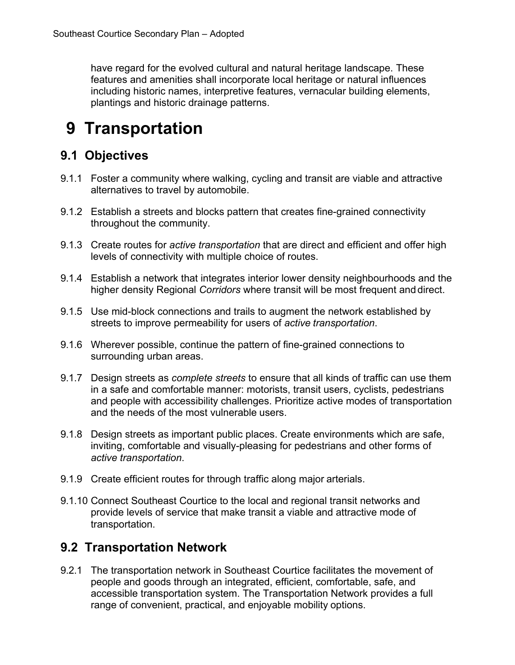have regard for the evolved cultural and natural heritage landscape. These features and amenities shall incorporate local heritage or natural influences including historic names, interpretive features, vernacular building elements, plantings and historic drainage patterns.

# <span id="page-28-0"></span>**9 Transportation**

## <span id="page-28-1"></span>**9.1 Objectives**

- 9.1.1 Foster a community where walking, cycling and transit are viable and attractive alternatives to travel by automobile.
- 9.1.2 Establish a streets and blocks pattern that creates fine-grained connectivity throughout the community.
- 9.1.3 Create routes for *active transportation* that are direct and efficient and offer high levels of connectivity with multiple choice of routes.
- 9.1.4 Establish a network that integrates interior lower density neighbourhoods and the higher density Regional *Corridors* where transit will be most frequent and direct.
- 9.1.5 Use mid-block connections and trails to augment the network established by streets to improve permeability for users of *active transportation*.
- 9.1.6 Wherever possible, continue the pattern of fine-grained connections to surrounding urban areas.
- 9.1.7 Design streets as *complete streets* to ensure that all kinds of traffic can use them in a safe and comfortable manner: motorists, transit users, cyclists, pedestrians and people with accessibility challenges. Prioritize active modes of transportation and the needs of the most vulnerable users.
- 9.1.8 Design streets as important public places. Create environments which are safe, inviting, comfortable and visually-pleasing for pedestrians and other forms of *active transportation*.
- 9.1.9 Create efficient routes for through traffic along major arterials.
- 9.1.10 Connect Southeast Courtice to the local and regional transit networks and provide levels of service that make transit a viable and attractive mode of transportation.

## <span id="page-28-2"></span>**9.2 Transportation Network**

9.2.1 The transportation network in Southeast Courtice facilitates the movement of people and goods through an integrated, efficient, comfortable, safe, and accessible transportation system. The Transportation Network provides a full range of convenient, practical, and enjoyable mobility options.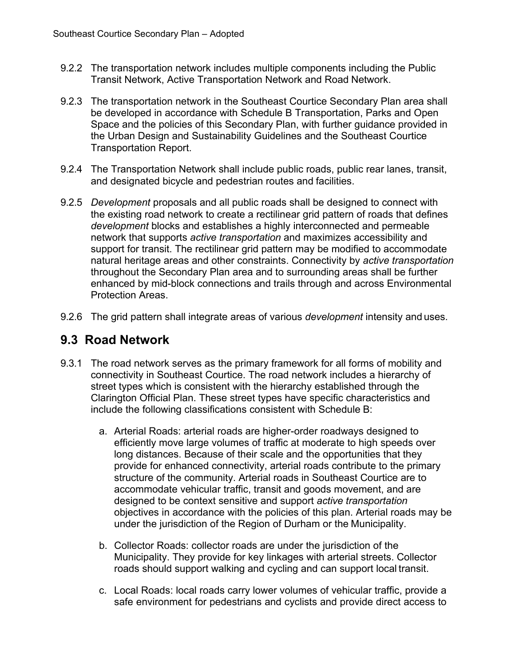- 9.2.2 The transportation network includes multiple components including the Public Transit Network, Active Transportation Network and Road Network.
- 9.2.3 The transportation network in the Southeast Courtice Secondary Plan area shall be developed in accordance with Schedule B Transportation, Parks and Open Space and the policies of this Secondary Plan, with further guidance provided in the Urban Design and Sustainability Guidelines and the Southeast Courtice Transportation Report.
- 9.2.4 The Transportation Network shall include public roads, public rear lanes, transit, and designated bicycle and pedestrian routes and facilities.
- 9.2.5 *Development* proposals and all public roads shall be designed to connect with the existing road network to create a rectilinear grid pattern of roads that defines *development* blocks and establishes a highly interconnected and permeable network that supports *active transportation* and maximizes accessibility and support for transit. The rectilinear grid pattern may be modified to accommodate natural heritage areas and other constraints. Connectivity by *active transportation*  throughout the Secondary Plan area and to surrounding areas shall be further enhanced by mid-block connections and trails through and across Environmental Protection Areas.
- 9.2.6 The grid pattern shall integrate areas of various *development* intensity and uses.

## <span id="page-29-0"></span>**9.3 Road Network**

- 9.3.1 The road network serves as the primary framework for all forms of mobility and connectivity in Southeast Courtice. The road network includes a hierarchy of street types which is consistent with the hierarchy established through the Clarington Official Plan. These street types have specific characteristics and include the following classifications consistent with Schedule B:
	- a. Arterial Roads: arterial roads are higher-order roadways designed to efficiently move large volumes of traffic at moderate to high speeds over long distances. Because of their scale and the opportunities that they provide for enhanced connectivity, arterial roads contribute to the primary structure of the community. Arterial roads in Southeast Courtice are to accommodate vehicular traffic, transit and goods movement, and are designed to be context sensitive and support *active transportation*  objectives in accordance with the policies of this plan. Arterial roads may be under the jurisdiction of the Region of Durham or the Municipality.
	- b. Collector Roads: collector roads are under the jurisdiction of the Municipality. They provide for key linkages with arterial streets. Collector roads should support walking and cycling and can support local transit.
	- c. Local Roads: local roads carry lower volumes of vehicular traffic, provide a safe environment for pedestrians and cyclists and provide direct access to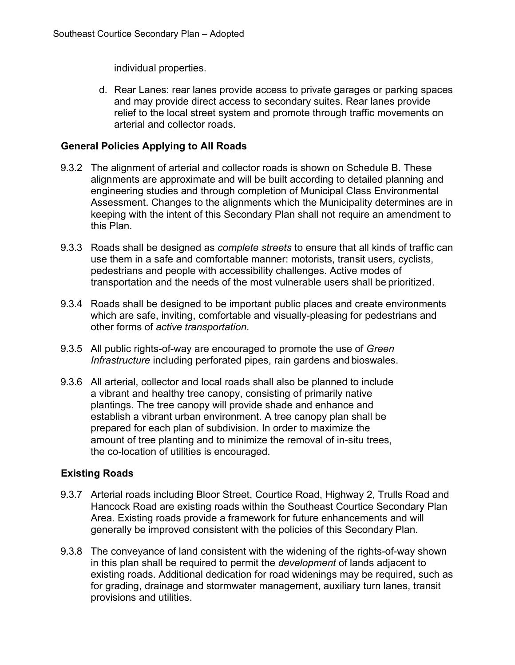individual properties.

d. Rear Lanes: rear lanes provide access to private garages or parking spaces and may provide direct access to secondary suites. Rear lanes provide relief to the local street system and promote through traffic movements on arterial and collector roads.

#### **General Policies Applying to All Roads**

- 9.3.2 The alignment of arterial and collector roads is shown on Schedule B. These alignments are approximate and will be built according to detailed planning and engineering studies and through completion of Municipal Class Environmental Assessment. Changes to the alignments which the Municipality determines are in keeping with the intent of this Secondary Plan shall not require an amendment to this Plan.
- 9.3.3 Roads shall be designed as *complete streets* to ensure that all kinds of traffic can use them in a safe and comfortable manner: motorists, transit users, cyclists, pedestrians and people with accessibility challenges. Active modes of transportation and the needs of the most vulnerable users shall be prioritized.
- 9.3.4 Roads shall be designed to be important public places and create environments which are safe, inviting, comfortable and visually-pleasing for pedestrians and other forms of *active transportation*.
- 9.3.5 All public rights-of-way are encouraged to promote the use of *Green Infrastructure* including perforated pipes, rain gardens and bioswales.
- 9.3.6 All arterial, collector and local roads shall also be planned to include a vibrant and healthy tree canopy, consisting of primarily native plantings. The tree canopy will provide shade and enhance and establish a vibrant urban environment. A tree canopy plan shall be prepared for each plan of subdivision. In order to maximize the amount of tree planting and to minimize the removal of in-situ trees, the co-location of utilities is encouraged.

#### **Existing Roads**

- 9.3.7 Arterial roads including Bloor Street, Courtice Road, Highway 2, Trulls Road and Hancock Road are existing roads within the Southeast Courtice Secondary Plan Area. Existing roads provide a framework for future enhancements and will generally be improved consistent with the policies of this Secondary Plan.
- 9.3.8 The conveyance of land consistent with the widening of the rights-of-way shown in this plan shall be required to permit the *development* of lands adjacent to existing roads. Additional dedication for road widenings may be required, such as for grading, drainage and stormwater management, auxiliary turn lanes, transit provisions and utilities.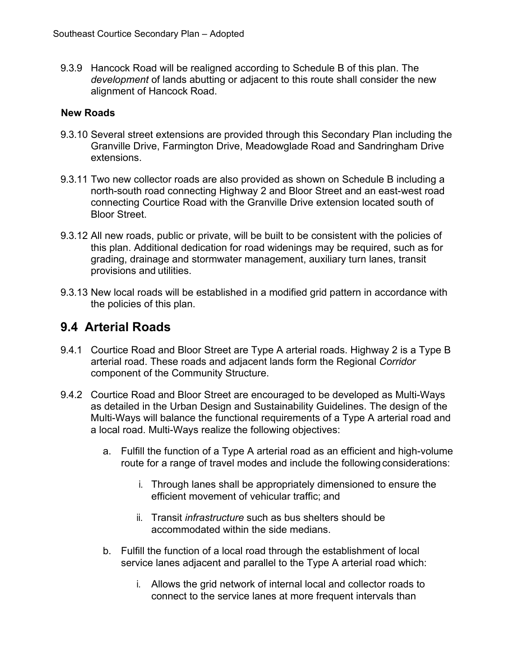9.3.9 Hancock Road will be realigned according to Schedule B of this plan. The *development* of lands abutting or adjacent to this route shall consider the new alignment of Hancock Road.

#### **New Roads**

- 9.3.10 Several street extensions are provided through this Secondary Plan including the Granville Drive, Farmington Drive, Meadowglade Road and Sandringham Drive extensions.
- 9.3.11 Two new collector roads are also provided as shown on Schedule B including a north-south road connecting Highway 2 and Bloor Street and an east-west road connecting Courtice Road with the Granville Drive extension located south of Bloor Street.
- 9.3.12 All new roads, public or private, will be built to be consistent with the policies of this plan. Additional dedication for road widenings may be required, such as for grading, drainage and stormwater management, auxiliary turn lanes, transit provisions and utilities.
- 9.3.13 New local roads will be established in a modified grid pattern in accordance with the policies of this plan.

## <span id="page-31-0"></span>**9.4 Arterial Roads**

- 9.4.1 Courtice Road and Bloor Street are Type A arterial roads. Highway 2 is a Type B arterial road. These roads and adjacent lands form the Regional *Corridor*  component of the Community Structure.
- 9.4.2 Courtice Road and Bloor Street are encouraged to be developed as Multi-Ways as detailed in the Urban Design and Sustainability Guidelines. The design of the Multi-Ways will balance the functional requirements of a Type A arterial road and a local road. Multi-Ways realize the following objectives:
	- a. Fulfill the function of a Type A arterial road as an efficient and high-volume route for a range of travel modes and include the following considerations:
		- i. Through lanes shall be appropriately dimensioned to ensure the efficient movement of vehicular traffic; and
		- ii. Transit *infrastructure* such as bus shelters should be accommodated within the side medians.
	- b. Fulfill the function of a local road through the establishment of local service lanes adjacent and parallel to the Type A arterial road which:
		- i. Allows the grid network of internal local and collector roads to connect to the service lanes at more frequent intervals than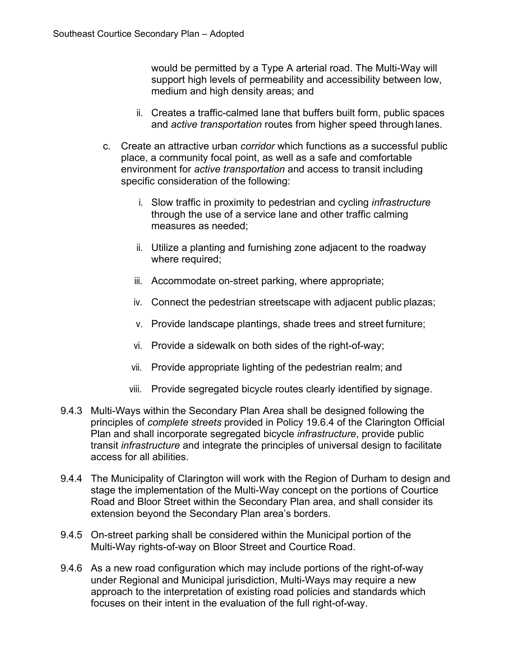would be permitted by a Type A arterial road. The Multi-Way will support high levels of permeability and accessibility between low, medium and high density areas; and

- ii. Creates a traffic-calmed lane that buffers built form, public spaces and *active transportation* routes from higher speed through lanes.
- c. Create an attractive urban *corridor* which functions as a successful public place, a community focal point, as well as a safe and comfortable environment for *active transportation* and access to transit including specific consideration of the following:
	- i. Slow traffic in proximity to pedestrian and cycling *infrastructure*  through the use of a service lane and other traffic calming measures as needed;
	- ii. Utilize a planting and furnishing zone adjacent to the roadway where required;
	- iii. Accommodate on-street parking, where appropriate;
	- iv. Connect the pedestrian streetscape with adjacent public plazas;
	- v. Provide landscape plantings, shade trees and street furniture;
	- vi. Provide a sidewalk on both sides of the right-of-way;
	- vii. Provide appropriate lighting of the pedestrian realm; and
	- viii. Provide segregated bicycle routes clearly identified by signage.
- 9.4.3 Multi-Ways within the Secondary Plan Area shall be designed following the principles of *complete streets* provided in Policy 19.6.4 of the Clarington Official Plan and shall incorporate segregated bicycle *infrastructure*, provide public transit *infrastructure* and integrate the principles of universal design to facilitate access for all abilities.
- 9.4.4 The Municipality of Clarington will work with the Region of Durham to design and stage the implementation of the Multi-Way concept on the portions of Courtice Road and Bloor Street within the Secondary Plan area, and shall consider its extension beyond the Secondary Plan area's borders.
- 9.4.5 On-street parking shall be considered within the Municipal portion of the Multi-Way rights-of-way on Bloor Street and Courtice Road.
- 9.4.6 As a new road configuration which may include portions of the right-of-way under Regional and Municipal jurisdiction, Multi-Ways may require a new approach to the interpretation of existing road policies and standards which focuses on their intent in the evaluation of the full right-of-way.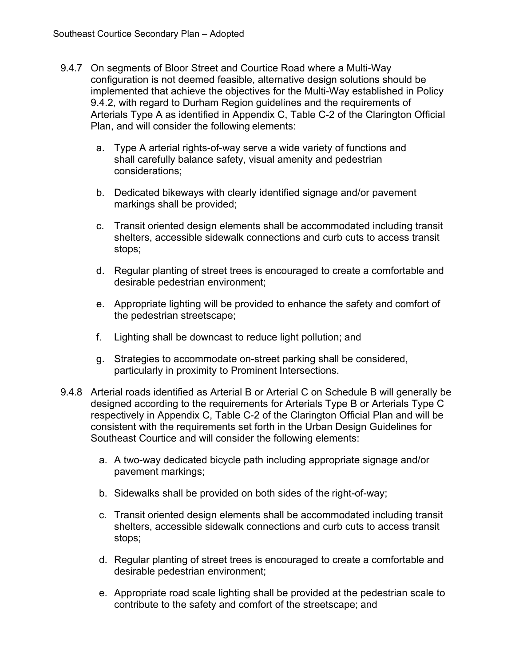- 9.4.7 On segments of Bloor Street and Courtice Road where a Multi-Way configuration is not deemed feasible, alternative design solutions should be implemented that achieve the objectives for the Multi-Way established in Policy 9.4.2, with regard to Durham Region guidelines and the requirements of Arterials Type A as identified in Appendix C, Table C-2 of the Clarington Official Plan, and will consider the following elements:
	- a. Type A arterial rights-of-way serve a wide variety of functions and shall carefully balance safety, visual amenity and pedestrian considerations;
	- b. Dedicated bikeways with clearly identified signage and/or pavement markings shall be provided;
	- c. Transit oriented design elements shall be accommodated including transit shelters, accessible sidewalk connections and curb cuts to access transit stops;
	- d. Regular planting of street trees is encouraged to create a comfortable and desirable pedestrian environment;
	- e. Appropriate lighting will be provided to enhance the safety and comfort of the pedestrian streetscape;
	- f. Lighting shall be downcast to reduce light pollution; and
	- g. Strategies to accommodate on-street parking shall be considered, particularly in proximity to Prominent Intersections.
- 9.4.8 Arterial roads identified as Arterial B or Arterial C on Schedule B will generally be designed according to the requirements for Arterials Type B or Arterials Type C respectively in Appendix C, Table C-2 of the Clarington Official Plan and will be consistent with the requirements set forth in the Urban Design Guidelines for Southeast Courtice and will consider the following elements:
	- a. A two-way dedicated bicycle path including appropriate signage and/or pavement markings;
	- b. Sidewalks shall be provided on both sides of the right-of-way;
	- c. Transit oriented design elements shall be accommodated including transit shelters, accessible sidewalk connections and curb cuts to access transit stops;
	- d. Regular planting of street trees is encouraged to create a comfortable and desirable pedestrian environment;
	- e. Appropriate road scale lighting shall be provided at the pedestrian scale to contribute to the safety and comfort of the streetscape; and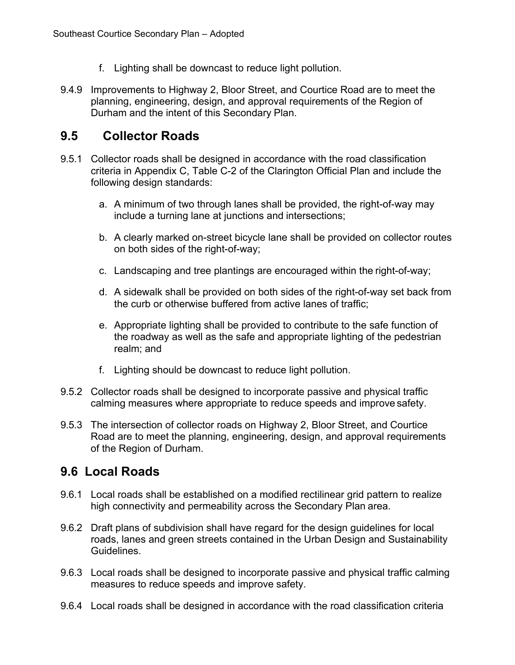- f. Lighting shall be downcast to reduce light pollution.
- 9.4.9 Improvements to Highway 2, Bloor Street, and Courtice Road are to meet the planning, engineering, design, and approval requirements of the Region of Durham and the intent of this Secondary Plan.

## <span id="page-34-0"></span>**9.5 Collector Roads**

- 9.5.1 Collector roads shall be designed in accordance with the road classification criteria in Appendix C, Table C-2 of the Clarington Official Plan and include the following design standards:
	- a. A minimum of two through lanes shall be provided, the right-of-way may include a turning lane at junctions and intersections;
	- b. A clearly marked on-street bicycle lane shall be provided on collector routes on both sides of the right-of-way;
	- c. Landscaping and tree plantings are encouraged within the right-of-way;
	- d. A sidewalk shall be provided on both sides of the right-of-way set back from the curb or otherwise buffered from active lanes of traffic;
	- e. Appropriate lighting shall be provided to contribute to the safe function of the roadway as well as the safe and appropriate lighting of the pedestrian realm; and
	- f. Lighting should be downcast to reduce light pollution.
- 9.5.2 Collector roads shall be designed to incorporate passive and physical traffic calming measures where appropriate to reduce speeds and improve safety.
- 9.5.3 The intersection of collector roads on Highway 2, Bloor Street, and Courtice Road are to meet the planning, engineering, design, and approval requirements of the Region of Durham.

## <span id="page-34-1"></span>**9.6 Local Roads**

- 9.6.1 Local roads shall be established on a modified rectilinear grid pattern to realize high connectivity and permeability across the Secondary Plan area.
- 9.6.2 Draft plans of subdivision shall have regard for the design guidelines for local roads, lanes and green streets contained in the Urban Design and Sustainability Guidelines.
- 9.6.3 Local roads shall be designed to incorporate passive and physical traffic calming measures to reduce speeds and improve safety.
- 9.6.4 Local roads shall be designed in accordance with the road classification criteria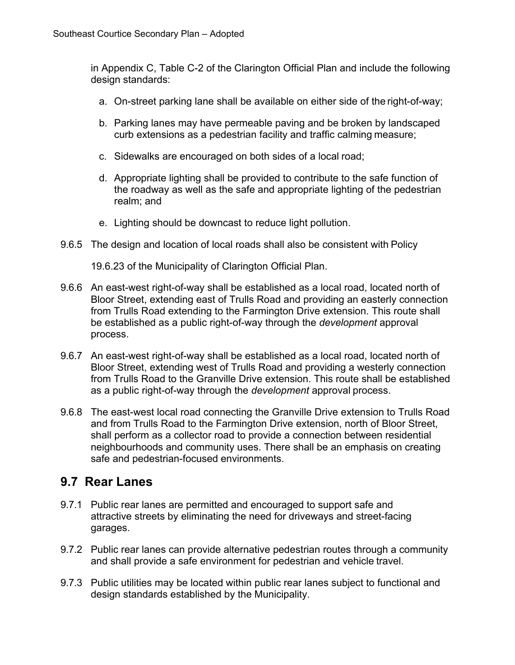in Appendix C, Table C-2 of the Clarington Official Plan and include the following design standards:

- a. On-street parking lane shall be available on either side of the right-of-way;
- b. Parking lanes may have permeable paving and be broken by landscaped curb extensions as a pedestrian facility and traffic calming measure;
- c. Sidewalks are encouraged on both sides of a local road;
- d. Appropriate lighting shall be provided to contribute to the safe function of the roadway as well as the safe and appropriate lighting of the pedestrian realm; and
- e. Lighting should be downcast to reduce light pollution.
- 9.6.5 The design and location of local roads shall also be consistent with Policy

19.6.23 of the Municipality of Clarington Official Plan.

- 9.6.6 An east-west right-of-way shall be established as a local road, located north of Bloor Street, extending east of Trulls Road and providing an easterly connection from Trulls Road extending to the Farmington Drive extension. This route shall be established as a public right-of-way through the *development* approval process.
- 9.6.7 An east-west right-of-way shall be established as a local road, located north of Bloor Street, extending west of Trulls Road and providing a westerly connection from Trulls Road to the Granville Drive extension. This route shall be established as a public right-of-way through the *development* approval process.
- 9.6.8 The east-west local road connecting the Granville Drive extension to Trulls Road and from Trulls Road to the Farmington Drive extension, north of Bloor Street, shall perform as a collector road to provide a connection between residential neighbourhoods and community uses. There shall be an emphasis on creating safe and pedestrian-focused environments.

#### <span id="page-35-0"></span>**9.7 Rear Lanes**

- 9.7.1 Public rear lanes are permitted and encouraged to support safe and attractive streets by eliminating the need for driveways and street-facing garages.
- 9.7.2 Public rear lanes can provide alternative pedestrian routes through a community and shall provide a safe environment for pedestrian and vehicle travel.
- 9.7.3 Public utilities may be located within public rear lanes subject to functional and design standards established by the Municipality.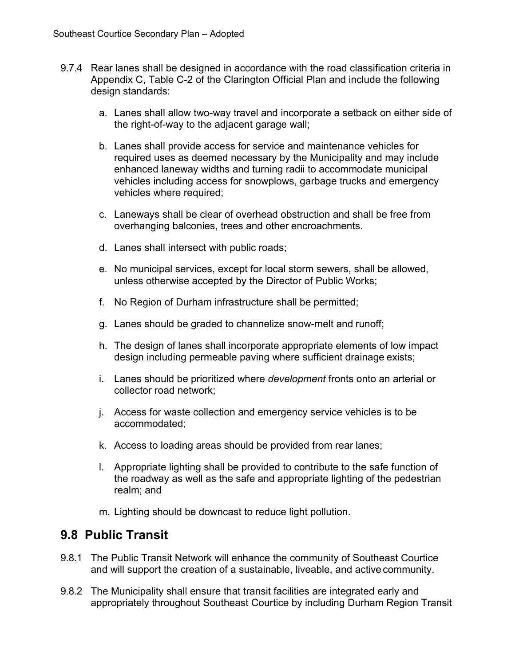- 9.7.4 Rear lanes shall be designed in accordance with the road classification criteria in Appendix C, Table C-2 of the Clarington Official Plan and include the following design standards:
	- a. Lanes shall allow two-way travel and incorporate a setback on either side of the right-of-way to the adjacent garage wall;
	- b. Lanes shall provide access for service and maintenance vehicles for required uses as deemed necessary by the Municipality and may include enhanced laneway widths and turning radii to accommodate municipal vehicles including access for snowplows, garbage trucks and emergency vehicles where required;
	- c. Laneways shall be clear of overhead obstruction and shall be free from overhanging balconies, trees and other encroachments.
	- d. Lanes shall intersect with public roads;
	- e. No municipal services, except for local storm sewers, shall be allowed, unless otherwise accepted by the Director of Public Works;
	- f. No Region of Durham infrastructure shall be permitted;
	- g. Lanes should be graded to channelize snow-melt and runoff;
	- h. The design of lanes shall incorporate appropriate elements of low impact design including permeable paving where sufficient drainage exists;
	- i. Lanes should be prioritized where *development* fronts onto an arterial or collector road network;
	- j. Access for waste collection and emergency service vehicles is to be accommodated;
	- k. Access to loading areas should be provided from rear lanes;
	- l. Appropriate lighting shall be provided to contribute to the safe function of the roadway as well as the safe and appropriate lighting of the pedestrian realm; and
	- m. Lighting should be downcast to reduce light pollution.

## <span id="page-36-0"></span>**9.8 Public Transit**

- 9.8.1 The Public Transit Network will enhance the community of Southeast Courtice and will support the creation of a sustainable, liveable, and active community.
- 9.8.2 The Municipality shall ensure that transit facilities are integrated early and appropriately throughout Southeast Courtice by including Durham Region Transit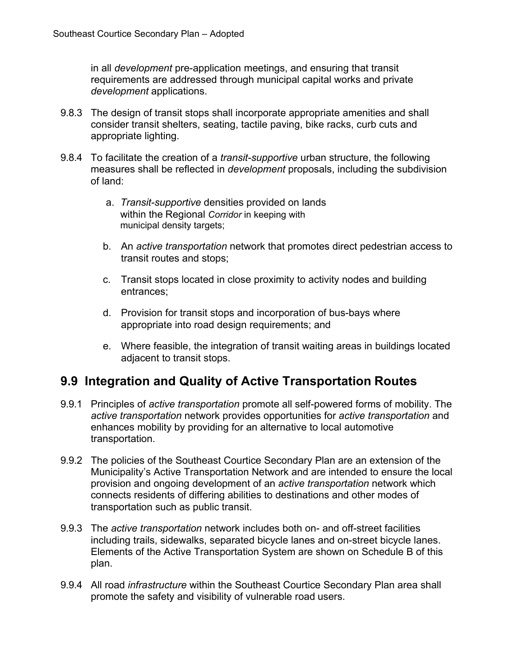in all *development* pre-application meetings, and ensuring that transit requirements are addressed through municipal capital works and private *development* applications.

- 9.8.3 The design of transit stops shall incorporate appropriate amenities and shall consider transit shelters, seating, tactile paving, bike racks, curb cuts and appropriate lighting.
- 9.8.4 To facilitate the creation of a *transit-supportive* urban structure, the following measures shall be reflected in *development* proposals, including the subdivision of land:
	- a. *Transit-supportive* densities provided on lands within the Regional *Corridor* in keeping with municipal density targets;
	- b. An *active transportation* network that promotes direct pedestrian access to transit routes and stops;
	- c. Transit stops located in close proximity to activity nodes and building entrances;
	- d. Provision for transit stops and incorporation of bus-bays where appropriate into road design requirements; and
	- e. Where feasible, the integration of transit waiting areas in buildings located adjacent to transit stops.

## <span id="page-37-0"></span>**9.9 Integration and Quality of Active Transportation Routes**

- 9.9.1 Principles of *active transportation* promote all self-powered forms of mobility. The *active transportation* network provides opportunities for *active transportation* and enhances mobility by providing for an alternative to local automotive transportation.
- 9.9.2 The policies of the Southeast Courtice Secondary Plan are an extension of the Municipality's Active Transportation Network and are intended to ensure the local provision and ongoing development of an *active transportation* network which connects residents of differing abilities to destinations and other modes of transportation such as public transit.
- 9.9.3 The *active transportation* network includes both on- and off-street facilities including trails, sidewalks, separated bicycle lanes and on-street bicycle lanes. Elements of the Active Transportation System are shown on Schedule B of this plan.
- 9.9.4 All road *infrastructure* within the Southeast Courtice Secondary Plan area shall promote the safety and visibility of vulnerable road users.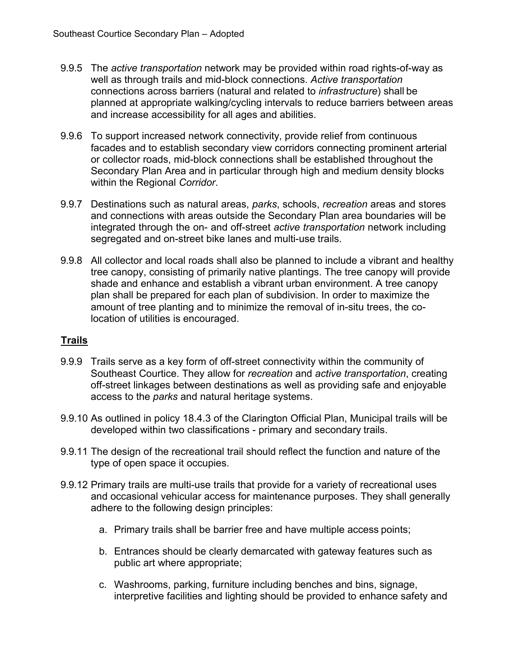- 9.9.5 The *active transportation* network may be provided within road rights-of-way as well as through trails and mid-block connections. *Active transportation*  connections across barriers (natural and related to *infrastructure*) shall be planned at appropriate walking/cycling intervals to reduce barriers between areas and increase accessibility for all ages and abilities.
- 9.9.6 To support increased network connectivity, provide relief from continuous facades and to establish secondary view corridors connecting prominent arterial or collector roads, mid-block connections shall be established throughout the Secondary Plan Area and in particular through high and medium density blocks within the Regional *Corridor*.
- 9.9.7 Destinations such as natural areas, *parks*, schools, *recreation* areas and stores and connections with areas outside the Secondary Plan area boundaries will be integrated through the on- and off-street *active transportation* network including segregated and on-street bike lanes and multi-use trails.
- 9.9.8 All collector and local roads shall also be planned to include a vibrant and healthy tree canopy, consisting of primarily native plantings. The tree canopy will provide shade and enhance and establish a vibrant urban environment. A tree canopy plan shall be prepared for each plan of subdivision. In order to maximize the amount of tree planting and to minimize the removal of in-situ trees, the colocation of utilities is encouraged.

#### **Trails**

- 9.9.9 Trails serve as a key form of off-street connectivity within the community of Southeast Courtice. They allow for *recreation* and *active transportation*, creating off-street linkages between destinations as well as providing safe and enjoyable access to the *parks* and natural heritage systems.
- 9.9.10 As outlined in policy 18.4.3 of the Clarington Official Plan, Municipal trails will be developed within two classifications - primary and secondary trails.
- 9.9.11 The design of the recreational trail should reflect the function and nature of the type of open space it occupies.
- 9.9.12 Primary trails are multi-use trails that provide for a variety of recreational uses and occasional vehicular access for maintenance purposes. They shall generally adhere to the following design principles:
	- a. Primary trails shall be barrier free and have multiple access points;
	- b. Entrances should be clearly demarcated with gateway features such as public art where appropriate;
	- c. Washrooms, parking, furniture including benches and bins, signage, interpretive facilities and lighting should be provided to enhance safety and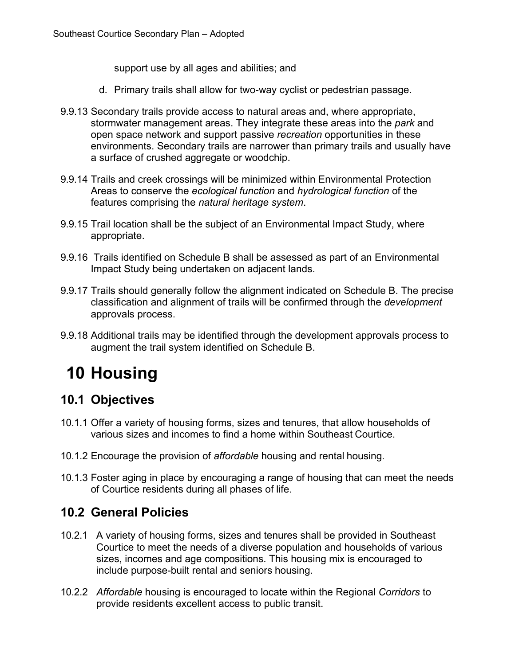support use by all ages and abilities; and

- d. Primary trails shall allow for two-way cyclist or pedestrian passage.
- 9.9.13 Secondary trails provide access to natural areas and, where appropriate, stormwater management areas. They integrate these areas into the *park* and open space network and support passive *recreation* opportunities in these environments. Secondary trails are narrower than primary trails and usually have a surface of crushed aggregate or woodchip.
- 9.9.14 Trails and creek crossings will be minimized within Environmental Protection Areas to conserve the *ecological function* and *hydrological function* of the features comprising the *natural heritage system*.
- 9.9.15 Trail location shall be the subject of an Environmental Impact Study, where appropriate.
- 9.9.16 Trails identified on Schedule B shall be assessed as part of an Environmental Impact Study being undertaken on adjacent lands.
- 9.9.17 Trails should generally follow the alignment indicated on Schedule B. The precise classification and alignment of trails will be confirmed through the *development*  approvals process.
- 9.9.18 Additional trails may be identified through the development approvals process to augment the trail system identified on Schedule B.

# <span id="page-39-0"></span>**10 Housing**

## <span id="page-39-1"></span>**10.1 Objectives**

- 10.1.1 Offer a variety of housing forms, sizes and tenures, that allow households of various sizes and incomes to find a home within Southeast Courtice.
- 10.1.2 Encourage the provision of *affordable* housing and rental housing.
- 10.1.3 Foster aging in place by encouraging a range of housing that can meet the needs of Courtice residents during all phases of life.

#### <span id="page-39-2"></span>**10.2 General Policies**

- 10.2.1 A variety of housing forms, sizes and tenures shall be provided in Southeast Courtice to meet the needs of a diverse population and households of various sizes, incomes and age compositions. This housing mix is encouraged to include purpose-built rental and seniors housing.
- 10.2.2 *Affordable* housing is encouraged to locate within the Regional *Corridors* to provide residents excellent access to public transit.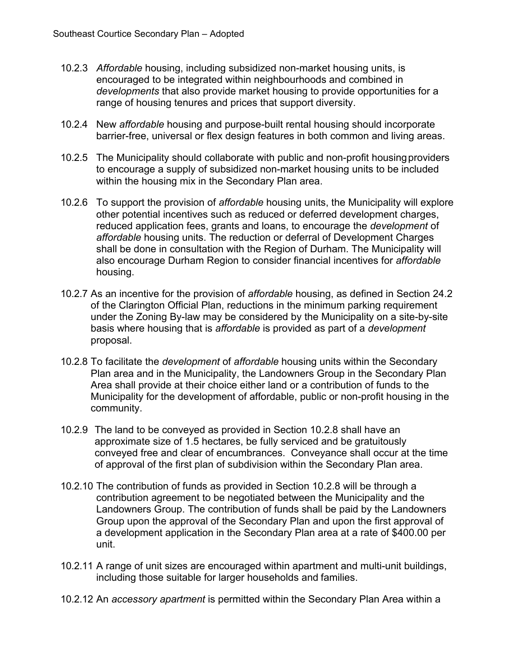- 10.2.3 *Affordable* housing, including subsidized non-market housing units, is encouraged to be integrated within neighbourhoods and combined in *developments* that also provide market housing to provide opportunities for a range of housing tenures and prices that support diversity.
- 10.2.4 New *affordable* housing and purpose-built rental housing should incorporate barrier-free, universal or flex design features in both common and living areas.
- 10.2.5 The Municipality should collaborate with public and non-profit housingproviders to encourage a supply of subsidized non-market housing units to be included within the housing mix in the Secondary Plan area.
- 10.2.6 To support the provision of *affordable* housing units, the Municipality will explore other potential incentives such as reduced or deferred development charges, reduced application fees, grants and loans, to encourage the *development* of *affordable* housing units. The reduction or deferral of Development Charges shall be done in consultation with the Region of Durham. The Municipality will also encourage Durham Region to consider financial incentives for *affordable* housing.
- 10.2.7 As an incentive for the provision of *affordable* housing, as defined in Section 24.2 of the Clarington Official Plan, reductions in the minimum parking requirement under the Zoning By-law may be considered by the Municipality on a site-by-site basis where housing that is *affordable* is provided as part of a *development*  proposal.
- 10.2.8 To facilitate the *development* of *affordable* housing units within the Secondary Plan area and in the Municipality, the Landowners Group in the Secondary Plan Area shall provide at their choice either land or a contribution of funds to the Municipality for the development of affordable, public or non-profit housing in the community.
- 10.2.9 The land to be conveyed as provided in Section 10.2.8 shall have an approximate size of 1.5 hectares, be fully serviced and be gratuitously conveyed free and clear of encumbrances. Conveyance shall occur at the time of approval of the first plan of subdivision within the Secondary Plan area.
- 10.2.10 The contribution of funds as provided in Section 10.2.8 will be through a contribution agreement to be negotiated between the Municipality and the Landowners Group. The contribution of funds shall be paid by the Landowners Group upon the approval of the Secondary Plan and upon the first approval of a development application in the Secondary Plan area at a rate of \$400.00 per unit.
- 10.2.11 A range of unit sizes are encouraged within apartment and multi-unit buildings, including those suitable for larger households and families.
- 10.2.12 An *accessory apartment* is permitted within the Secondary Plan Area within a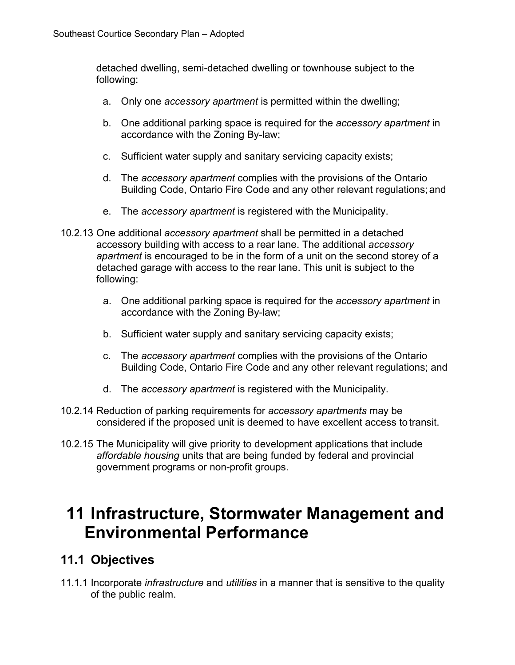detached dwelling, semi-detached dwelling or townhouse subject to the following:

- a. Only one *accessory apartment* is permitted within the dwelling;
- b. One additional parking space is required for the *accessory apartment* in accordance with the Zoning By-law;
- c. Sufficient water supply and sanitary servicing capacity exists;
- d. The *accessory apartment* complies with the provisions of the Ontario Building Code, Ontario Fire Code and any other relevant regulations;and
- e. The *accessory apartment* is registered with the Municipality.
- 10.2.13 One additional *accessory apartment* shall be permitted in a detached accessory building with access to a rear lane. The additional *accessory apartment* is encouraged to be in the form of a unit on the second storey of a detached garage with access to the rear lane. This unit is subject to the following:
	- a. One additional parking space is required for the *accessory apartment* in accordance with the Zoning By-law;
	- b. Sufficient water supply and sanitary servicing capacity exists;
	- c. The *accessory apartment* complies with the provisions of the Ontario Building Code, Ontario Fire Code and any other relevant regulations; and
	- d. The *accessory apartment* is registered with the Municipality.
- 10.2.14 Reduction of parking requirements for *accessory apartments* may be considered if the proposed unit is deemed to have excellent access totransit.
- 10.2.15 The Municipality will give priority to development applications that include *affordable housing* units that are being funded by federal and provincial government programs or non-profit groups.

# <span id="page-41-0"></span>**11 Infrastructure, Stormwater Management and Environmental Performance**

## <span id="page-41-1"></span>**11.1 Objectives**

11.1.1 Incorporate *infrastructure* and *utilities* in a manner that is sensitive to the quality of the public realm.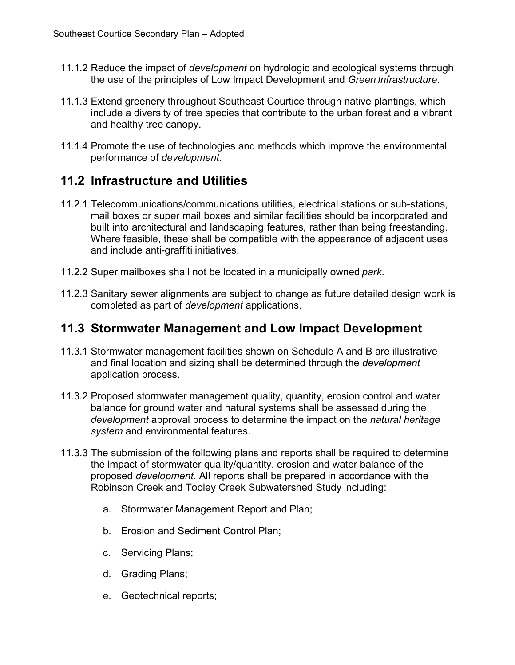- 11.1.2 Reduce the impact of *development* on hydrologic and ecological systems through the use of the principles of Low Impact Development and *Green Infrastructure*.
- 11.1.3 Extend greenery throughout Southeast Courtice through native plantings, which include a diversity of tree species that contribute to the urban forest and a vibrant and healthy tree canopy.
- 11.1.4 Promote the use of technologies and methods which improve the environmental performance of *development*.

## <span id="page-42-0"></span>**11.2 Infrastructure and Utilities**

- 11.2.1 Telecommunications/communications utilities, electrical stations or sub-stations, mail boxes or super mail boxes and similar facilities should be incorporated and built into architectural and landscaping features, rather than being freestanding. Where feasible, these shall be compatible with the appearance of adjacent uses and include anti-graffiti initiatives.
- 11.2.2 Super mailboxes shall not be located in a municipally owned *park*.
- 11.2.3 Sanitary sewer alignments are subject to change as future detailed design work is completed as part of *development* applications.

## <span id="page-42-1"></span>**11.3 Stormwater Management and Low Impact Development**

- 11.3.1 Stormwater management facilities shown on Schedule A and B are illustrative and final location and sizing shall be determined through the *development*  application process.
- 11.3.2 Proposed stormwater management quality, quantity, erosion control and water balance for ground water and natural systems shall be assessed during the *development* approval process to determine the impact on the *natural heritage system* and environmental features.
- 11.3.3 The submission of the following plans and reports shall be required to determine the impact of stormwater quality/quantity, erosion and water balance of the proposed *development.* All reports shall be prepared in accordance with the Robinson Creek and Tooley Creek Subwatershed Study including:
	- a. Stormwater Management Report and Plan;
	- b. Erosion and Sediment Control Plan;
	- c. Servicing Plans;
	- d. Grading Plans;
	- e. Geotechnical reports;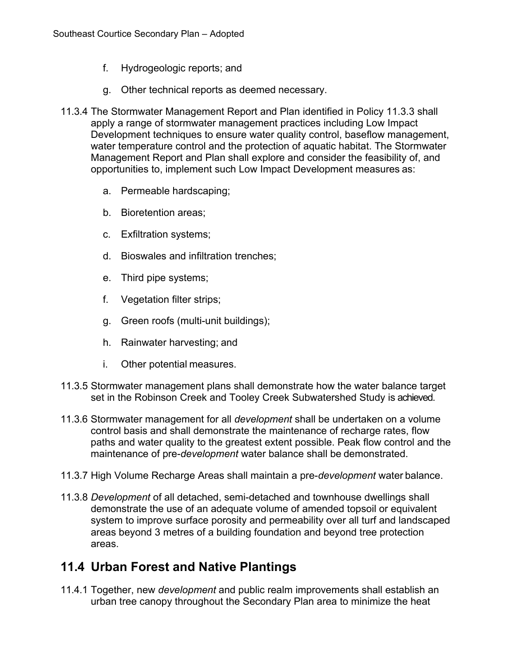- f. Hydrogeologic reports; and
- g. Other technical reports as deemed necessary.
- 11.3.4 The Stormwater Management Report and Plan identified in Policy 11.3.3 shall apply a range of stormwater management practices including Low Impact Development techniques to ensure water quality control, baseflow management, water temperature control and the protection of aquatic habitat. The Stormwater Management Report and Plan shall explore and consider the feasibility of, and opportunities to, implement such Low Impact Development measures as:
	- a. Permeable hardscaping;
	- b. Bioretention areas;
	- c. Exfiltration systems;
	- d. Bioswales and infiltration trenches;
	- e. Third pipe systems;
	- f. Vegetation filter strips;
	- g. Green roofs (multi-unit buildings);
	- h. Rainwater harvesting; and
	- i. Other potential measures.
- 11.3.5 Stormwater management plans shall demonstrate how the water balance target set in the Robinson Creek and Tooley Creek Subwatershed Study is achieved.
- 11.3.6 Stormwater management for all *development* shall be undertaken on a volume control basis and shall demonstrate the maintenance of recharge rates, flow paths and water quality to the greatest extent possible. Peak flow control and the maintenance of pre-*development* water balance shall be demonstrated.
- 11.3.7 High Volume Recharge Areas shall maintain a pre-*development* water balance.
- 11.3.8 *Development* of all detached, semi-detached and townhouse dwellings shall demonstrate the use of an adequate volume of amended topsoil or equivalent system to improve surface porosity and permeability over all turf and landscaped areas beyond 3 metres of a building foundation and beyond tree protection areas.

## <span id="page-43-0"></span>**11.4 Urban Forest and Native Plantings**

11.4.1 Together, new *development* and public realm improvements shall establish an urban tree canopy throughout the Secondary Plan area to minimize the heat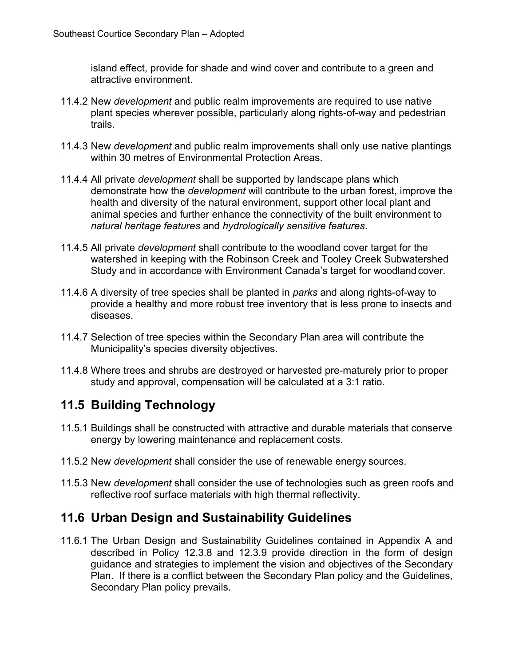island effect, provide for shade and wind cover and contribute to a green and attractive environment.

- 11.4.2 New *development* and public realm improvements are required to use native plant species wherever possible, particularly along rights-of-way and pedestrian trails.
- 11.4.3 New *development* and public realm improvements shall only use native plantings within 30 metres of Environmental Protection Areas.
- 11.4.4 All private *development* shall be supported by landscape plans which demonstrate how the *development* will contribute to the urban forest, improve the health and diversity of the natural environment, support other local plant and animal species and further enhance the connectivity of the built environment to *natural heritage features* and *hydrologically sensitive features*.
- 11.4.5 All private *development* shall contribute to the woodland cover target for the watershed in keeping with the Robinson Creek and Tooley Creek Subwatershed Study and in accordance with Environment Canada's target for woodland cover.
- 11.4.6 A diversity of tree species shall be planted in *parks* and along rights-of-way to provide a healthy and more robust tree inventory that is less prone to insects and diseases.
- 11.4.7 Selection of tree species within the Secondary Plan area will contribute the Municipality's species diversity objectives.
- 11.4.8 Where trees and shrubs are destroyed or harvested pre-maturely prior to proper study and approval, compensation will be calculated at a 3:1 ratio.

# <span id="page-44-0"></span>**11.5 Building Technology**

- 11.5.1 Buildings shall be constructed with attractive and durable materials that conserve energy by lowering maintenance and replacement costs.
- 11.5.2 New *development* shall consider the use of renewable energy sources.
- 11.5.3 New *development* shall consider the use of technologies such as green roofs and reflective roof surface materials with high thermal reflectivity.

## <span id="page-44-1"></span>**11.6 Urban Design and Sustainability Guidelines**

11.6.1 The Urban Design and Sustainability Guidelines contained in Appendix A and described in Policy 12.3.8 and 12.3.9 provide direction in the form of design guidance and strategies to implement the vision and objectives of the Secondary Plan. If there is a conflict between the Secondary Plan policy and the Guidelines, Secondary Plan policy prevails.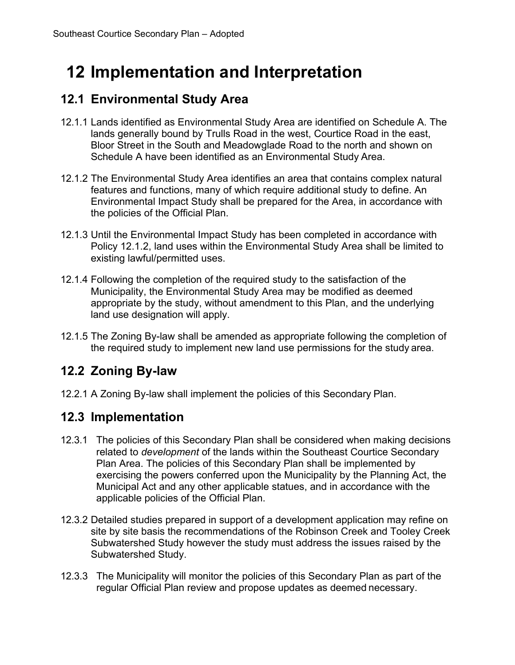# <span id="page-45-0"></span>**12 Implementation and Interpretation**

## <span id="page-45-1"></span>**12.1 Environmental Study Area**

- 12.1.1 Lands identified as Environmental Study Area are identified on Schedule A. The lands generally bound by Trulls Road in the west, Courtice Road in the east, Bloor Street in the South and Meadowglade Road to the north and shown on Schedule A have been identified as an Environmental Study Area.
- 12.1.2 The Environmental Study Area identifies an area that contains complex natural features and functions, many of which require additional study to define. An Environmental Impact Study shall be prepared for the Area, in accordance with the policies of the Official Plan.
- 12.1.3 Until the Environmental Impact Study has been completed in accordance with Policy 12.1.2, land uses within the Environmental Study Area shall be limited to existing lawful/permitted uses.
- 12.1.4 Following the completion of the required study to the satisfaction of the Municipality, the Environmental Study Area may be modified as deemed appropriate by the study, without amendment to this Plan, and the underlying land use designation will apply.
- 12.1.5 The Zoning By-law shall be amended as appropriate following the completion of the required study to implement new land use permissions for the study area.

# <span id="page-45-2"></span>**12.2 Zoning By-law**

12.2.1 A Zoning By-law shall implement the policies of this Secondary Plan.

## <span id="page-45-3"></span>**12.3 Implementation**

- 12.3.1 The policies of this Secondary Plan shall be considered when making decisions related to *development* of the lands within the Southeast Courtice Secondary Plan Area. The policies of this Secondary Plan shall be implemented by exercising the powers conferred upon the Municipality by the Planning Act, the Municipal Act and any other applicable statues, and in accordance with the applicable policies of the Official Plan.
- 12.3.2 Detailed studies prepared in support of a development application may refine on site by site basis the recommendations of the Robinson Creek and Tooley Creek Subwatershed Study however the study must address the issues raised by the Subwatershed Study.
- 12.3.3 The Municipality will monitor the policies of this Secondary Plan as part of the regular Official Plan review and propose updates as deemed necessary.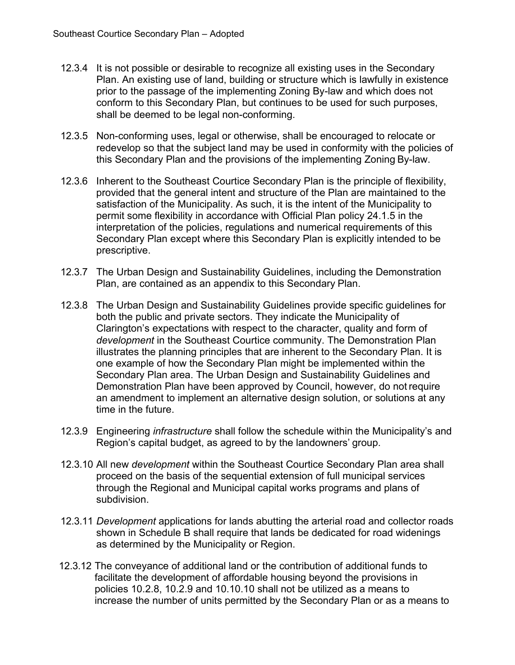- 12.3.4 It is not possible or desirable to recognize all existing uses in the Secondary Plan. An existing use of land, building or structure which is lawfully in existence prior to the passage of the implementing Zoning By-law and which does not conform to this Secondary Plan, but continues to be used for such purposes, shall be deemed to be legal non-conforming.
- 12.3.5 Non-conforming uses, legal or otherwise, shall be encouraged to relocate or redevelop so that the subject land may be used in conformity with the policies of this Secondary Plan and the provisions of the implementing Zoning By-law.
- 12.3.6 Inherent to the Southeast Courtice Secondary Plan is the principle of flexibility, provided that the general intent and structure of the Plan are maintained to the satisfaction of the Municipality. As such, it is the intent of the Municipality to permit some flexibility in accordance with Official Plan policy 24.1.5 in the interpretation of the policies, regulations and numerical requirements of this Secondary Plan except where this Secondary Plan is explicitly intended to be prescriptive.
- 12.3.7 The Urban Design and Sustainability Guidelines, including the Demonstration Plan, are contained as an appendix to this Secondary Plan.
- 12.3.8 The Urban Design and Sustainability Guidelines provide specific guidelines for both the public and private sectors. They indicate the Municipality of Clarington's expectations with respect to the character, quality and form of *development* in the Southeast Courtice community. The Demonstration Plan illustrates the planning principles that are inherent to the Secondary Plan. It is one example of how the Secondary Plan might be implemented within the Secondary Plan area. The Urban Design and Sustainability Guidelines and Demonstration Plan have been approved by Council, however, do not require an amendment to implement an alternative design solution, or solutions at any time in the future.
- 12.3.9 Engineering *infrastructure* shall follow the schedule within the Municipality's and Region's capital budget, as agreed to by the landowners' group.
- 12.3.10 All new *development* within the Southeast Courtice Secondary Plan area shall proceed on the basis of the sequential extension of full municipal services through the Regional and Municipal capital works programs and plans of subdivision.
- 12.3.11 *Development* applications for lands abutting the arterial road and collector roads shown in Schedule B shall require that lands be dedicated for road widenings as determined by the Municipality or Region.
- 12.3.12 The conveyance of additional land or the contribution of additional funds to facilitate the development of affordable housing beyond the provisions in policies 10.2.8, 10.2.9 and 10.10.10 shall not be utilized as a means to increase the number of units permitted by the Secondary Plan or as a means to